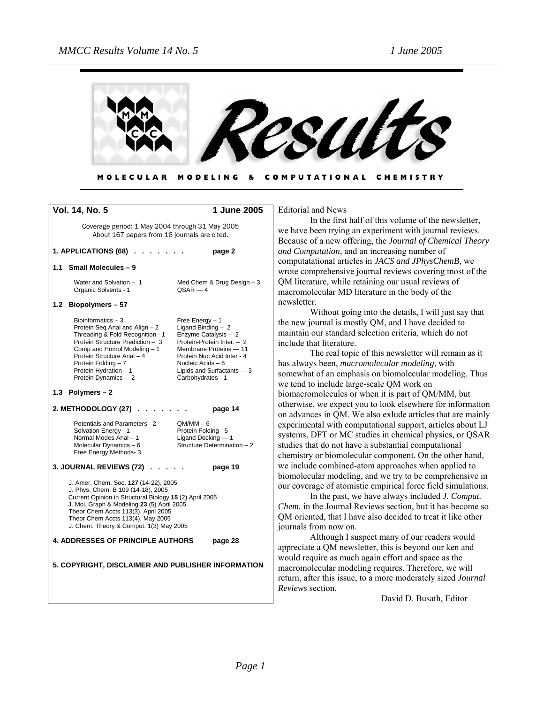

| MOLECULAR MODELING & COMPUTATIONAL CHEMISTRY |  |  |  |
|----------------------------------------------|--|--|--|
|----------------------------------------------|--|--|--|

| Vol. 14, No. 5                                                                                                                                                                                                                                                                                              | 1 June 2005                                                                                                                                                                                                                     |
|-------------------------------------------------------------------------------------------------------------------------------------------------------------------------------------------------------------------------------------------------------------------------------------------------------------|---------------------------------------------------------------------------------------------------------------------------------------------------------------------------------------------------------------------------------|
| Coverage period: 1 May 2004 through 31 May 2005<br>About 167 papers from 16 journals are cited.                                                                                                                                                                                                             |                                                                                                                                                                                                                                 |
| 1. APPLICATIONS (68).                                                                                                                                                                                                                                                                                       | page 2                                                                                                                                                                                                                          |
| 1.1 Small Molecules - 9                                                                                                                                                                                                                                                                                     |                                                                                                                                                                                                                                 |
| Water and Solvation - 1<br>Organic Solvents - 1                                                                                                                                                                                                                                                             | Med Chem & Drug Design $-3$<br>$QSAR - 4$                                                                                                                                                                                       |
| 1.2 Biopolymers - 57                                                                                                                                                                                                                                                                                        |                                                                                                                                                                                                                                 |
| Bioinformatics $-3$<br>Protein Seq Anal and Align - 2<br>Threading & Fold Recognition - 1<br>Protein Structure Prediction - 3<br>Comp and Homol Modeling - 1<br>Protein Structure Anal - 4<br>Protein Folding - 7<br>Protein Hydration - 1<br>Protein Dynamics - 2                                          | Free Energy $-1$<br>Ligand Binding $-2$<br>Enzyme Catalysis - 2<br>Protein-Protein Inter. - 2<br>Membrane Proteins - 11<br>Protein Nuc Acid Inter - 4<br>Nucleic Acids $-6$<br>Lipids and Surfactants $-3$<br>Carbohydrates - 1 |
| 1.3 Polymers $-2$                                                                                                                                                                                                                                                                                           |                                                                                                                                                                                                                                 |
| 2. METHODOLOGY (27)                                                                                                                                                                                                                                                                                         | page 14                                                                                                                                                                                                                         |
| Potentials and Parameters - 2<br>Solvation Energy - 1<br>Normal Modes Anal - 1<br>Molecular Dynamics - 6<br>Free Energy Methods-3                                                                                                                                                                           | $QM/MM - 6$<br>Protein Folding - 5<br>Ligand Docking - 1<br>Structure Determination - 2                                                                                                                                         |
| <b>3. JOURNAL REVIEWS (72)</b> .                                                                                                                                                                                                                                                                            | page 19                                                                                                                                                                                                                         |
| J. Amer. Chem. Soc. 127 (14-22), 2005<br>J. Phys. Chem. B 109 (14-18), 2005<br>Current Opinion in Structural Biology 15 (2) April 2005<br>J. Mol. Graph & Modeling 23 (5) April 2005<br>Theor Chem Accts 113(3), April 2005<br>Theor Chem Accts 113(4), May 2005<br>J. Chem. Theory & Comput. 1(3) May 2005 |                                                                                                                                                                                                                                 |
| 4. ADDRESSES OF PRINCIPLE AUTHORS                                                                                                                                                                                                                                                                           | page 28                                                                                                                                                                                                                         |
|                                                                                                                                                                                                                                                                                                             |                                                                                                                                                                                                                                 |
| 5. COPYRIGHT, DISCLAIMER AND PUBLISHER INFORMATION                                                                                                                                                                                                                                                          |                                                                                                                                                                                                                                 |

Editorial and News

In the first half of this volume of the newsletter, we have been trying an experiment with journal reviews. Because of a new offering, the *Journal of Chemical Theory and Computation*, and an increasing number of computatational articles in *JACS and JPhysChemB,* we wrote comprehensive journal reviews covering most of the QM literature, while retaining our usual reviews of macromolecular MD literature in the body of the newsletter.

Without going into the details, I will just say that the new journal is mostly QM, and I have decided to maintain our standard selection criteria, which do not include that literature.

The real topic of this newsletter will remain as it has always been, *macromolecular modeling*, with somewhat of an emphasis on biomolecular modeling. Thus we tend to include large-scale QM work on biomacromolecules or when it is part of QM/MM, but otherwise, we expect you to look elsewhere for information on advances in QM. We also exlude articles that are mainly experimental with computational support, articles about LJ systems, DFT or MC studies in chemical physics, or QSAR studies that do not have a substantial computational chemistry or biomolecular component. On the other hand, we include combined-atom approaches when applied to biomolecular modeling, and we try to be comprehensive in our coverage of atomistic empirical force field simulations.

In the past, we have always included *J. Comput. Chem.* in the Journal Reviews section, but it has become so QM oriented, that I have also decided to treat it like other ournals from now on.

Although I suspect many of our readers would appreciate a QM newsletter, this is beyond our ken and would require as much again effort and space as the macromolecular modeling requires. Therefore, we will return, after this issue, to a more moderately sized *Journal Reviews* section.

David D. Busath, Editor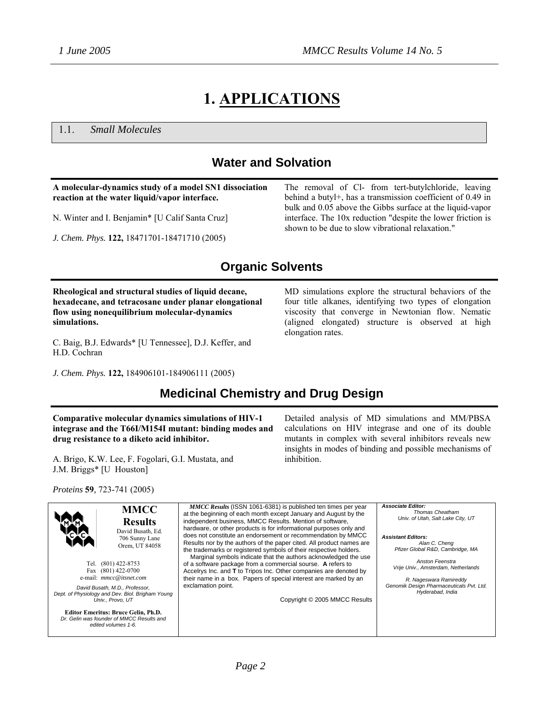# **1. APPLICATIONS**

1.1. *Small Molecules*

# **Water and Solvation**

**A molecular-dynamics study of a model SN1 dissociation reaction at the water liquid/vapor interface.**  N. Winter and I. Benjamin\* [U Calif Santa Cruz] *J. Chem. Phys.* **122,** 18471701-18471710 (2005) The removal of Cl- from tert-butylchloride, leaving behind a butyl+, has a transmission coefficient of 0.49 in bulk and 0.05 above the Gibbs surface at the liquid-vapor interface. The 10x reduction "despite the lower friction is shown to be due to slow vibrational relaxation."

# **Organic Solvents**

**Rheological and structural studies of liquid decane, hexadecane, and tetracosane under planar elongational flow using nonequilibrium molecular-dynamics simulations.** 

C. Baig, B.J. Edwards\* [U Tennessee], D.J. Keffer, and H.D. Cochran

*J. Chem. Phys.* **122,** 184906101-184906111 (2005)

MD simulations explore the structural behaviors of the four title alkanes, identifying two types of elongation viscosity that converge in Newtonian flow. Nematic (aligned elongated) structure is observed at high elongation rates.

# **Medicinal Chemistry and Drug Design**

**Comparative molecular dynamics simulations of HIV-1 integrase and the T66I/M154I mutant: binding modes and drug resistance to a diketo acid inhibitor.**

A. Brigo, K.W. Lee, F. Fogolari, G.I. Mustata, and J.M. Briggs\* [U Houston]

*Proteins* **59***,* 723-741 (2005)

Detailed analysis of MD simulations and MM/PBSA calculations on HIV integrase and one of its double mutants in complex with several inhibitors reveals new insights in modes of binding and possible mechanisms of inhibition.

**MMCC Results**  David Busath, Ed. 706 Sunny Lane Orem, UT 84058 Tel. (801) 422-8753 Fax (801) 422-0700 e-mail: *mmcc@itsnet.com David Busath, M.D., Professor, Dept. of Physiology and Dev. Biol. Brigham Young Univ., Provo, UT* **Editor Emeritus: Bruce Gelin, Ph.D.**  *Dr. Gelin was founder of MMCC Results and edited volumes 1-6. MMCC Results* (ISSN 1061-6381) is published ten times per year at the beginning of each month except January and August by the independent business, MMCC Results. Mention of software, hardware, or other products is for informational purposes only and does not constitute an endorsement or recommendation by MMCC Results nor by the authors of the paper cited. All product names are the trademarks or registered symbols of their respective holders. Marginal symbols indicate that the authors acknowledged the use of a software package from a commercial sourse. **A** refers to Accelrys Inc. and **T** to Tripos Inc. Other companies are denoted by their name in a box. Papers of special interest are marked by an exclamation point. Copyright © 2005 MMCC Results *Associate Editor: Thomas Cheatham Univ. of Utah, Salt Lake City, UT Assistant Editors: Alan C. Cheng Pfizer Global R&D, Cambridge, MA Anston Feenstra Vrije Univ., Amsterdam, Netherlands R. Nageswara Ramireddy Genomik Design Pharmaceuticals Pvt. Ltd. Hyderabad, India*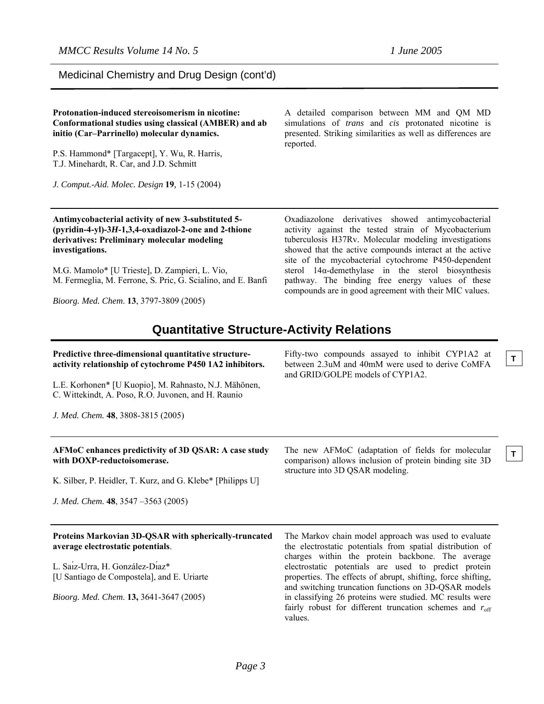**T**

**T**

A detailed comparison between MM and QM MD simulations of *trans* and *cis* protonated nicotine is presented. Striking similarities as well as differences are

Medicinal Chemistry and Drug Design (cont'd)

**Protonation-induced stereoisomerism in nicotine: Conformational studies using classical (AMBER) and ab**

**initio (Car–Parrinello) molecular dynamics.**

### P.S. Hammond\* [Targacept], Y. Wu, R. Harris, T.J. Minehardt, R. Car, and J.D. Schmitt *J. Comput.-Aid. Molec. Design* **19***,* 1-15 (2004) reported. **Antimycobacterial activity of new 3-substituted 5- (pyridin-4-yl)-3***H***-1,3,4-oxadiazol-2-one and 2-thione derivatives: Preliminary molecular modeling investigations.**  M.G. Mamolo\* [U Trieste], D. Zampieri, L. Vio, M. Fermeglia, M. Ferrone, S. Pric, G. Scialino, and E. Banfi *Bioorg. Med. Chem*. **13**, 3797-3809 (2005) Oxadiazolone derivatives showed antimycobacterial activity against the tested strain of Mycobacterium tuberculosis H37Rv. Molecular modeling investigations showed that the active compounds interact at the active site of the mycobacterial cytochrome P450-dependent sterol 14α-demethylase in the sterol biosynthesis pathway. The binding free energy values of these compounds are in good agreement with their MIC values. **Quantitative Structure-Activity Relations Predictive three-dimensional quantitative structureactivity relationship of cytochrome P450 1A2 inhibitors.**  L.E. Korhonen\* [U Kuopio], M. Rahnasto, N.J. Mähönen, C. Wittekindt, A. Poso, R.O. Juvonen, and H. Raunio *J. Med. Chem.* **48**, 3808-3815 (2005) Fifty-two compounds assayed to inhibit CYP1A2 at between 2.3uM and 40mM were used to derive CoMFA and GRID/GOLPE models of CYP1A2. **AFMoC enhances predictivity of 3D QSAR: A case study with DOXP-reductoisomerase.**  K. Silber, P. Heidler, T. Kurz, and G. Klebe\* [Philipps U] *J. Med. Chem.* **48**, 3547 –3563 (2005) The new AFMoC (adaptation of fields for molecular comparison) allows inclusion of protein binding site 3D structure into 3D QSAR modeling. **Proteins Markovian 3D-QSAR with spherically-truncated average electrostatic potentials**. L. Saı́z-Urra, H. González-Dı́az\* [U Santiago de Compostela], and E. Uriarte *Bioorg. Med. Chem*. **13,** 3641-3647 (2005) The Markov chain model approach was used to evaluate the electrostatic potentials from spatial distribution of charges within the protein backbone. The average electrostatic potentials are used to predict protein properties. The effects of abrupt, shifting, force shifting, and switching truncation functions on 3D-QSAR models in classifying 26 proteins were studied. MC results were fairly robust for different truncation schemes and  $r<sub>off</sub>$ values.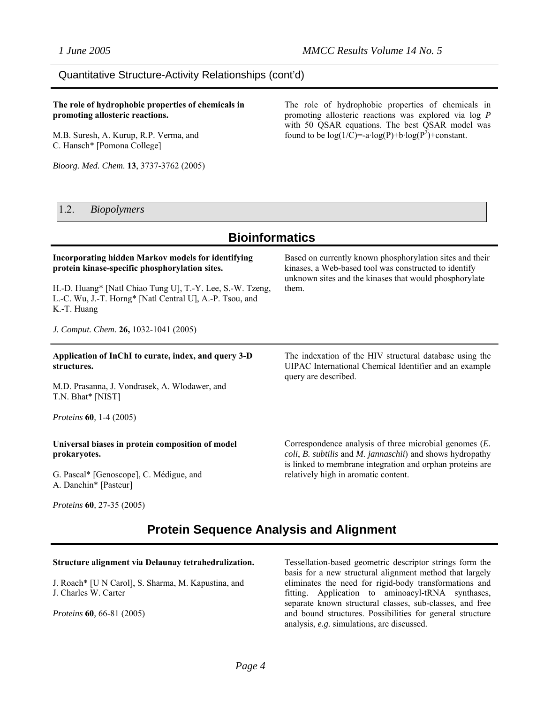### Quantitative Structure-Activity Relationships (cont'd)

**The role of hydrophobic properties of chemicals in promoting allosteric reactions.** 

M.B. Suresh, A. Kurup, R.P. Verma, and C. Hansch\* [Pomona College]

*Bioorg. Med. Chem*. **13**, 3737-3762 (2005)

The role of hydrophobic properties of chemicals in promoting allosteric reactions was explored via log *P* with 50 QSAR equations. The best QSAR model was found to be  $log(1/C) = -a \cdot log(P) + b \cdot log(P^2) + constant$ .

### 1.2. *Biopolymers*

# **Bioinformatics**

#### **Incorporating hidden Markov models for identifying protein kinase-specific phosphorylation sites.**  H.-D. Huang\* [Natl Chiao Tung U], T.-Y. Lee, S.-W. Tzeng, L.-C. Wu, J.-T. Horng\* [Natl Central U], A.-P. Tsou, and K.-T. Huang *J. Comput. Chem.* **26,** 1032-1041 (2005) Based on currently known phosphorylation sites and their kinases, a Web-based tool was constructed to identify unknown sites and the kinases that would phosphorylate them. **Application of InChI to curate, index, and query 3-D structures.** M.D. Prasanna, J. Vondrasek, A. Wlodawer, and T.N. Bhat\* [NIST] *Proteins* **60***,* 1-4 (2005) The indexation of the HIV structural database using the UIPAC International Chemical Identifier and an example query are described. **Universal biases in protein composition of model prokaryotes.** G. Pascal\* [Genoscope], C. Médigue, and A. Danchin\* [Pasteur] Correspondence analysis of three microbial genomes (*E. coli*, *B. subtilis* and *M. jannaschii*) and shows hydropathy is linked to membrane integration and orphan proteins are relatively high in aromatic content.

*Proteins* **60***,* 27-35 (2005)

# **Protein Sequence Analysis and Alignment**

### **Structure alignment via Delaunay tetrahedralization.**

J. Roach\* [U N Carol], S. Sharma, M. Kapustina, and J. Charles W. Carter

*Proteins* **60***,* 66-81 (2005)

Tessellation-based geometric descriptor strings form the basis for a new structural alignment method that largely eliminates the need for rigid-body transformations and fitting. Application to aminoacyl-tRNA synthases, separate known structural classes, sub-classes, and free and bound structures. Possibilities for general structure analysis, *e.g.* simulations, are discussed.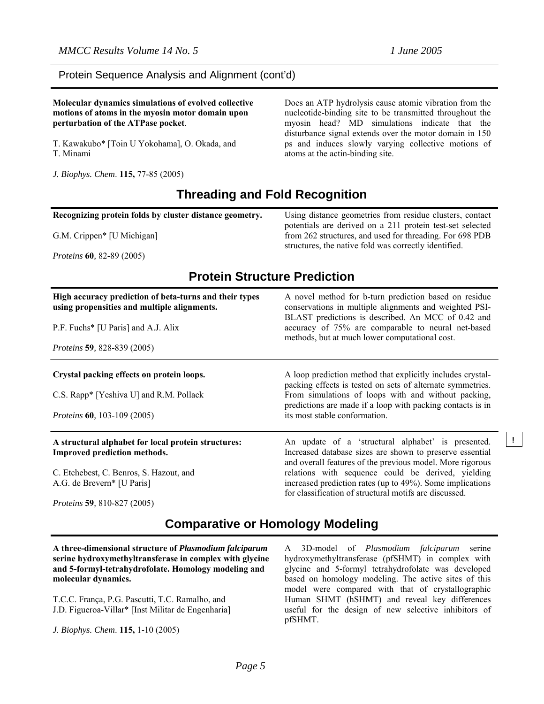### Protein Sequence Analysis and Alignment (cont'd)

**Molecular dynamics simulations of evolved collective motions of atoms in the myosin motor domain upon perturbation of the ATPase pocket**.

T. Kawakubo\* [Toin U Yokohama], O. Okada, and T. Minami

*J. Biophys. Chem*. **115,** 77-85 (2005)

Does an ATP hydrolysis cause atomic vibration from the nucleotide-binding site to be transmitted throughout the myosin head? MD simulations indicate that the disturbance signal extends over the motor domain in 150 ps and induces slowly varying collective motions of atoms at the actin-binding site.

# **Threading and Fold Recognition**

**Recognizing protein folds by cluster distance geometry.**

G.M. Crippen\* [U Michigan]

*Proteins* **60***,* 82-89 (2005)

Using distance geometries from residue clusters, contact potentials are derived on a 211 protein test-set selected from 262 structures, and used for threading. For 698 PDB structures, the native fold was correctly identified.

## **Protein Structure Prediction**

| High accuracy prediction of beta-turns and their types<br>using propensities and multiple alignments.<br>P.F. Fuchs* [U Paris] and A.J. Alix<br><i>Proteins</i> 59, 828-839 (2005) | A novel method for b-turn prediction based on residue<br>conservations in multiple alignments and weighted PSI-<br>BLAST predictions is described. An MCC of 0.42 and<br>accuracy of 75% are comparable to neural net-based<br>methods, but at much lower computational cost. |
|------------------------------------------------------------------------------------------------------------------------------------------------------------------------------------|-------------------------------------------------------------------------------------------------------------------------------------------------------------------------------------------------------------------------------------------------------------------------------|
| Crystal packing effects on protein loops.                                                                                                                                          | A loop prediction method that explicitly includes crystal-<br>packing effects is tested on sets of alternate symmetries.                                                                                                                                                      |
| C.S. Rapp* [Yeshiva U] and R.M. Pollack                                                                                                                                            | From simulations of loops with and without packing,<br>predictions are made if a loop with packing contacts is in                                                                                                                                                             |
| <i>Proteins</i> <b>60</b> , 103-109 (2005)                                                                                                                                         | its most stable conformation.                                                                                                                                                                                                                                                 |
| A structural alphabet for local protein structures:<br><b>Improved prediction methods.</b>                                                                                         | An update of a 'structural alphabet' is presented.<br>Increased database sizes are shown to preserve essential<br>and overall features of the previous model. More rigorous                                                                                                   |
| C. Etchebest, C. Benros, S. Hazout, and                                                                                                                                            | relations with sequence could be derived, yielding                                                                                                                                                                                                                            |
| A.G. de Brevern* [U Paris]                                                                                                                                                         | increased prediction rates (up to 49%). Some implications<br>for classification of structural motifs are discussed.                                                                                                                                                           |
| <i>Proteins</i> 59, 810-827 (2005)                                                                                                                                                 |                                                                                                                                                                                                                                                                               |

# **Comparative or Homology Modeling**

**A three-dimensional structure of** *Plasmodium falciparum* **serine hydroxymethyltransferase in complex with glycine and 5-formyl-tetrahydrofolate. Homology modeling and molecular dynamics.** 

T.C.C. França, P.G. Pascutti, T.C. Ramalho, and J.D. Figueroa-Villar\* [Inst Militar de Engenharia]

*J. Biophys. Chem*. **115,** 1-10 (2005)

A 3D-model of *Plasmodium falciparum* serine hydroxymethyltransferase (pfSHMT) in complex with glycine and 5-formyl tetrahydrofolate was developed based on homology modeling. The active sites of this model were compared with that of crystallographic Human SHMT (hSHMT) and reveal key differences useful for the design of new selective inhibitors of pfSHMT.

**!**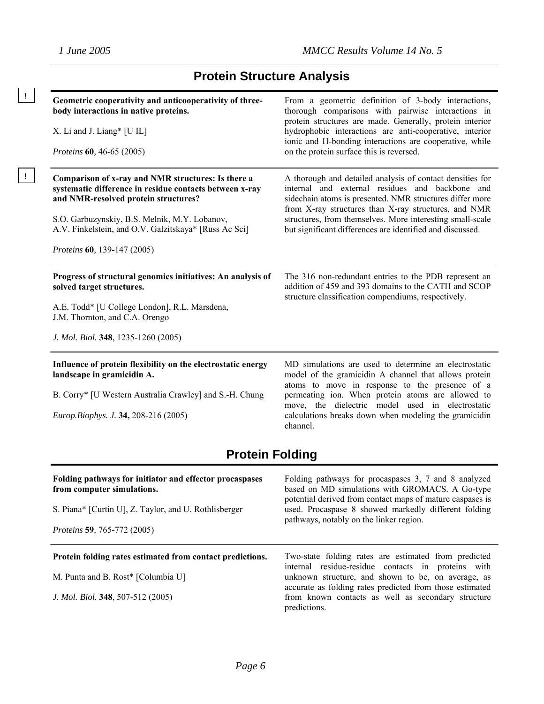**!** 

# **Protein Structure Analysis**

| Geometric cooperativity and anticooperativity of three-<br>body interactions in native proteins.<br>X. Li and J. Liang* [U IL]<br><i>Proteins</i> <b>60</b> , 46-65 (2005)                                                                                                                     | From a geometric definition of 3-body interactions,<br>thorough comparisons with pairwise interactions in<br>protein structures are made. Generally, protein interior<br>hydrophobic interactions are anti-cooperative, interior<br>ionic and H-bonding interactions are cooperative, while<br>on the protein surface this is reversed.                    |
|------------------------------------------------------------------------------------------------------------------------------------------------------------------------------------------------------------------------------------------------------------------------------------------------|------------------------------------------------------------------------------------------------------------------------------------------------------------------------------------------------------------------------------------------------------------------------------------------------------------------------------------------------------------|
| Comparison of x-ray and NMR structures: Is there a<br>systematic difference in residue contacts between x-ray<br>and NMR-resolved protein structures?<br>S.O. Garbuzynskiy, B.S. Melnik, M.Y. Lobanov,<br>A.V. Finkelstein, and O.V. Galzitskaya* [Russ Ac Sci]<br>Proteins 60, 139-147 (2005) | A thorough and detailed analysis of contact densities for<br>internal and external residues and backbone and<br>sidechain atoms is presented. NMR structures differ more<br>from X-ray structures than X-ray structures, and NMR<br>structures, from themselves. More interesting small-scale<br>but significant differences are identified and discussed. |
| Progress of structural genomics initiatives: An analysis of<br>solved target structures.<br>A.E. Todd* [U College London], R.L. Marsdena,<br>J.M. Thornton, and C.A. Orengo<br>J. Mol. Biol. 348, 1235-1260 (2005)                                                                             | The 316 non-redundant entries to the PDB represent an<br>addition of 459 and 393 domains to the CATH and SCOP<br>structure classification compendiums, respectively.                                                                                                                                                                                       |
| Influence of protein flexibility on the electrostatic energy<br>landscape in gramicidin A.<br>B. Corry* [U Western Australia Crawley] and S.-H. Chung<br>Europ.Biophys. J. 34, 208-216 (2005)<br><b>Protein Folding</b>                                                                        | MD simulations are used to determine an electrostatic<br>model of the gramicidin A channel that allows protein<br>atoms to move in response to the presence of a<br>permeating ion. When protein atoms are allowed to<br>move, the dielectric model used in electrostatic<br>calculations breaks down when modeling the gramicidin<br>channel.             |
|                                                                                                                                                                                                                                                                                                |                                                                                                                                                                                                                                                                                                                                                            |
| Folding pathways for initiator and effector procaspases<br>from computer simulations.                                                                                                                                                                                                          | Folding pathways for procaspases 3, 7 and 8 analyzed<br>based on MD simulations with GROMACS. A Go-type                                                                                                                                                                                                                                                    |
| S. Piana* [Curtin U], Z. Taylor, and U. Rothlisberger                                                                                                                                                                                                                                          | potential derived from contact maps of mature caspases is<br>used. Procaspase 8 showed markedly different folding<br>pathways, notably on the linker region.                                                                                                                                                                                               |
| <i>Proteins</i> 59, 765-772 (2005)                                                                                                                                                                                                                                                             |                                                                                                                                                                                                                                                                                                                                                            |
| Protein folding rates estimated from contact predictions.                                                                                                                                                                                                                                      | Two-state folding rates are estimated from predicted                                                                                                                                                                                                                                                                                                       |
| M. Punta and B. Rost* [Columbia U]                                                                                                                                                                                                                                                             | internal residue-residue contacts in proteins with<br>unknown structure, and shown to be, on average, as<br>accurate as folding rates predicted from those estimated                                                                                                                                                                                       |
| J. Mol. Biol. 348, 507-512 (2005)                                                                                                                                                                                                                                                              | from known contacts as well as secondary structure<br>predictions.                                                                                                                                                                                                                                                                                         |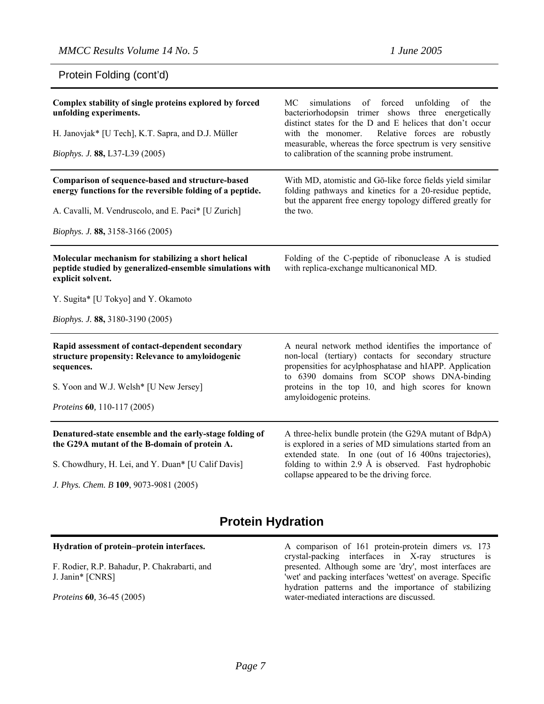### Protein Folding (cont'd)

| Complex stability of single proteins explored by forced<br>unfolding experiments.<br>H. Janovjak* [U Tech], K.T. Sapra, and D.J. Müller<br>Biophys. J. 88, L37-L39 (2005)                                       | of forced unfolding<br><b>MC</b><br>simulations<br>of the<br>bacteriorhodopsin trimer shows three energetically<br>distinct states for the D and E helices that don't occur<br>Relative forces are robustly<br>with the monomer.<br>measurable, whereas the force spectrum is very sensitive<br>to calibration of the scanning probe instrument. |
|-----------------------------------------------------------------------------------------------------------------------------------------------------------------------------------------------------------------|--------------------------------------------------------------------------------------------------------------------------------------------------------------------------------------------------------------------------------------------------------------------------------------------------------------------------------------------------|
| Comparison of sequence-based and structure-based<br>energy functions for the reversible folding of a peptide.<br>A. Cavalli, M. Vendruscolo, and E. Paci* [U Zurich]<br><i>Biophys. J.</i> 88, 3158-3166 (2005) | With MD, atomistic and Gō-like force fields yield similar<br>folding pathways and kinetics for a 20-residue peptide,<br>but the apparent free energy topology differed greatly for<br>the two.                                                                                                                                                   |
| Molecular mechanism for stabilizing a short helical<br>peptide studied by generalized-ensemble simulations with<br>explicit solvent.<br>Y. Sugita* [U Tokyo] and Y. Okamoto<br>Biophys. J. 88, 3180-3190 (2005) | Folding of the C-peptide of ribonuclease A is studied<br>with replica-exchange multicanonical MD.                                                                                                                                                                                                                                                |
| Rapid assessment of contact-dependent secondary<br>structure propensity: Relevance to amyloidogenic<br>sequences.<br>S. Yoon and W.J. Welsh* [U New Jersey]<br>Proteins 60, 110-117 (2005)                      | A neural network method identifies the importance of<br>non-local (tertiary) contacts for secondary structure<br>propensities for acylphosphatase and hIAPP. Application<br>to 6390 domains from SCOP shows DNA-binding<br>proteins in the top 10, and high scores for known<br>amyloidogenic proteins.                                          |
| Denatured-state ensemble and the early-stage folding of<br>the G29A mutant of the B-domain of protein A.<br>S. Chowdhury, H. Lei, and Y. Duan* [U Calif Davis]<br>J. Phys. Chem. B 109, 9073-9081 (2005)        | A three-helix bundle protein (the G29A mutant of BdpA)<br>is explored in a series of MD simulations started from an<br>extended state. In one (out of 16 400ns trajectories),<br>folding to within 2.9 $\AA$ is observed. Fast hydrophobic<br>collapse appeared to be the driving force.                                                         |

# **Protein Hydration**

### **Hydration of protein–protein interfaces.**

F. Rodier, R.P. Bahadur, P. Chakrabarti, and J. Janin\* [CNRS]

*Proteins* **60***,* 36-45 (2005)

A comparison of 161 protein-protein dimers *vs.* 173 crystal-packing interfaces in X-ray structures is presented. Although some are 'dry', most interfaces are 'wet' and packing interfaces 'wettest' on average. Specific hydration patterns and the importance of stabilizing water-mediated interactions are discussed.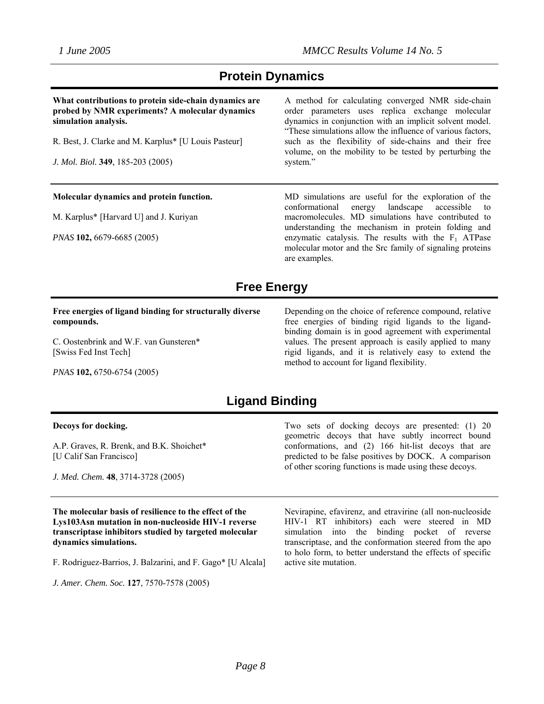# **Protein Dynamics**

**What contributions to protein side-chain dynamics are probed by NMR experiments? A molecular dynamics simulation analysis.** 

R. Best, J. Clarke and M. Karplus\* [U Louis Pasteur]

*J. Mol. Biol.* **349**, 185-203 (2005)

### **Molecular dynamics and protein function.**

M. Karplus\* [Harvard U] and J. Kuriyan

*PNAS* **102,** 6679-6685 (2005)

A method for calculating converged NMR side-chain order parameters uses replica exchange molecular dynamics in conjunction with an implicit solvent model. "These simulations allow the influence of various factors, such as the flexibility of side-chains and their free volume, on the mobility to be tested by perturbing the system."

MD simulations are useful for the exploration of the conformational energy landscape accessible to macromolecules. MD simulations have contributed to understanding the mechanism in protein folding and enzymatic catalysis. The results with the  $F_1$  ATPase molecular motor and the Src family of signaling proteins are examples.

# **Free Energy**

### **Free energies of ligand binding for structurally diverse compounds.**

C. Oostenbrink and W.F. van Gunsteren\* [Swiss Fed Inst Tech]

Depending on the choice of reference compound, relative free energies of binding rigid ligands to the ligandbinding domain is in good agreement with experimental values. The present approach is easily applied to many rigid ligands, and it is relatively easy to extend the method to account for ligand flexibility.

*PNAS* **102,** 6750-6754 (2005)

# **Ligand Binding**

#### **Decoys for docking.**

A.P. Graves, R. Brenk, and B.K. Shoichet\* [U Calif San Francisco]

*J. Med. Chem.* **48**, 3714-3728 (2005)

**The molecular basis of resilience to the effect of the Lys103Asn mutation in non-nucleoside HIV-1 reverse transcriptase inhibitors studied by targeted molecular dynamics simulations.**

F. Rodriguez-Barrios, J. Balzarini, and F. Gago\* [U Alcala]

*J. Amer. Chem. Soc.* **127**, 7570-7578 (2005)

Two sets of docking decoys are presented: (1) 20 geometric decoys that have subtly incorrect bound conformations, and (2) 166 hit-list decoys that are predicted to be false positives by DOCK. A comparison of other scoring functions is made using these decoys.

Nevirapine, efavirenz, and etravirine (all non-nucleoside HIV-1 RT inhibitors) each were steered in MD simulation into the binding pocket of reverse transcriptase, and the conformation steered from the apo to holo form, to better understand the effects of specific active site mutation.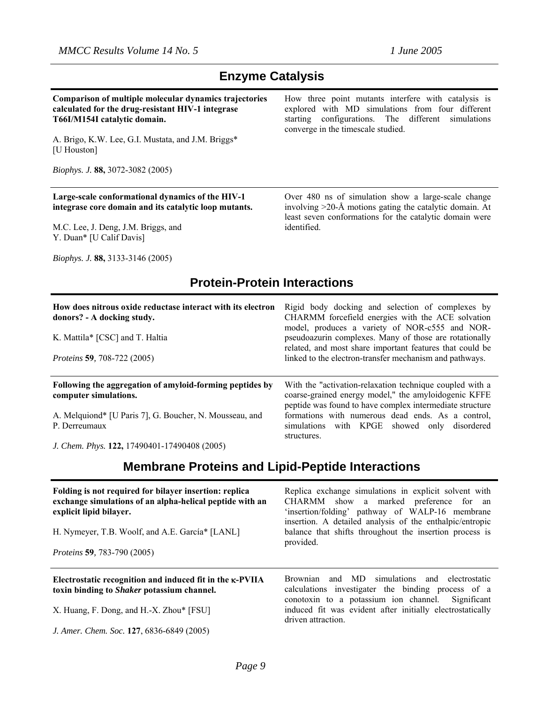# **Enzyme Catalysis**

**Comparison of multiple molecular dynamics trajectories calculated for the drug-resistant HIV-1 integrase T66I/M154I catalytic domain.** 

A. Brigo, K.W. Lee, G.I. Mustata, and J.M. Briggs\* [U Houston]

*Biophys. J.* **88,** 3072-3082 (2005)

**Large-scale conformational dynamics of the HIV-1 integrase core domain and its catalytic loop mutants.** 

M.C. Lee, J. Deng, J.M. Briggs, and Y. Duan\* [U Calif Davis]

How three point mutants interfere with catalysis is explored with MD simulations from four different starting configurations. The different simulations converge in the timescale studied.

Over 480 ns of simulation show a large-scale change involving >20-Å motions gating the catalytic domain. At least seven conformations for the catalytic domain were identified.

*Biophys. J.* **88,** 3133-3146 (2005)

# **Protein-Protein Interactions**

| How does nitrous oxide reductase interact with its electron<br>donors? - A docking study.<br>K. Mattila* [CSC] and T. Haltia<br><i>Proteins</i> 59, 708-722 (2005) | Rigid body docking and selection of complexes by<br>CHARMM forcefield energies with the ACE solvation<br>model, produces a variety of NOR-c555 and NOR-<br>pseudoazurin complexes. Many of those are rotationally<br>related, and most share important features that could be<br>linked to the electron-transfer mechanism and pathways. |
|--------------------------------------------------------------------------------------------------------------------------------------------------------------------|------------------------------------------------------------------------------------------------------------------------------------------------------------------------------------------------------------------------------------------------------------------------------------------------------------------------------------------|
| Following the aggregation of amyloid-forming peptides by<br>computer simulations.<br>A. Melquiond* [U Paris 7], G. Boucher, N. Mousseau, and<br>P. Derreumaux      | With the "activation-relaxation technique coupled with a<br>coarse-grained energy model," the amyloidogenic KFFE<br>peptide was found to have complex intermediate structure<br>formations with numerous dead ends. As a control,<br>simulations with KPGE showed only disordered<br>structures.                                         |
| J. Chem. Phys. 122, 17490401-17490408 (2005)                                                                                                                       |                                                                                                                                                                                                                                                                                                                                          |

# **Membrane Proteins and Lipid-Peptide Interactions**

| Folding is not required for bilayer insertion: replica<br>exchange simulations of an alpha-helical peptide with an<br>explicit lipid bilayer.<br>H. Nymeyer, T.B. Woolf, and A.E. García* [LANL]<br><i>Proteins</i> 59, 783-790 (2005) | Replica exchange simulations in explicit solvent with<br>CHARMM show a marked preference for an<br>'insertion/folding' pathway of WALP-16 membrane<br>insertion. A detailed analysis of the enthalpic/entropic<br>balance that shifts throughout the insertion process is<br>provided. |
|----------------------------------------------------------------------------------------------------------------------------------------------------------------------------------------------------------------------------------------|----------------------------------------------------------------------------------------------------------------------------------------------------------------------------------------------------------------------------------------------------------------------------------------|
| Electrostatic recognition and induced fit in the K-PVIIA<br>toxin binding to <i>Shaker</i> potassium channel.                                                                                                                          | Brownian and MD simulations and electrostatic<br>calculations investigater the binding process of a<br>conotoxin to a potassium ion channel. Significant                                                                                                                               |
| X. Huang, F. Dong, and H.-X. Zhou* [FSU]                                                                                                                                                                                               | induced fit was evident after initially electrostatically<br>driven attraction.                                                                                                                                                                                                        |
| J. Amer. Chem. Soc. 127, 6836-6849 (2005)                                                                                                                                                                                              |                                                                                                                                                                                                                                                                                        |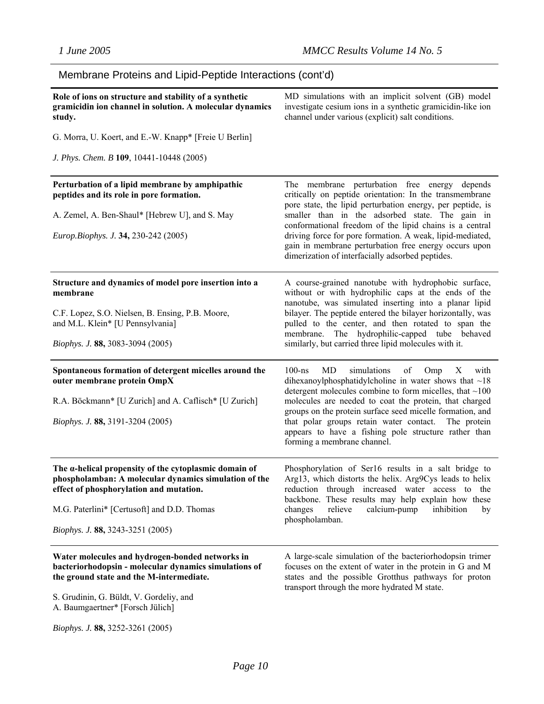#### Membrane Proteins and Lipid-Peptide Interactions (cont'd) **Role of ions on structure and stability of a synthetic gramicidin ion channel in solution. A molecular dynamics study.** G. Morra, U. Koert, and E.-W. Knapp\* [Freie U Berlin] *J. Phys. Chem. B* **109**, 10441-10448 (2005) MD simulations with an implicit solvent (GB) model investigate cesium ions in a synthetic gramicidin-like ion channel under various (explicit) salt conditions. **Perturbation of a lipid membrane by amphipathic peptides and its role in pore formation.**  A. Zemel, A. Ben-Shaul\* [Hebrew U], and S. May *Europ.Biophys. J.* **34,** 230-242 (2005) The membrane perturbation free energy depends critically on peptide orientation: In the transmembrane pore state, the lipid perturbation energy, per peptide, is smaller than in the adsorbed state. The gain in conformational freedom of the lipid chains is a central driving force for pore formation. A weak, lipid-mediated, gain in membrane perturbation free energy occurs upon dimerization of interfacially adsorbed peptides. **Structure and dynamics of model pore insertion into a membrane**  C.F. Lopez, S.O. Nielsen, B. Ensing, P.B. Moore, and M.L. Klein\* [U Pennsylvania] *Biophys. J.* **88,** 3083-3094 (2005) A course-grained nanotube with hydrophobic surface, without or with hydrophilic caps at the ends of the nanotube, was simulated inserting into a planar lipid bilayer. The peptide entered the bilayer horizontally, was pulled to the center, and then rotated to span the membrane. The hydrophilic-capped tube behaved similarly, but carried three lipid molecules with it. **Spontaneous formation of detergent micelles around the outer membrane protein OmpX**  R.A. Böckmann\* [U Zurich] and A. Caflisch\* [U Zurich] *Biophys. J.* **88,** 3191-3204 (2005) 100-ns MD simulations of Omp X with dihexanoylphosphatidylcholine in water shows that  $\sim$ 18 detergent molecules combine to form micelles, that ~100 molecules are needed to coat the protein, that charged groups on the protein surface seed micelle formation, and that polar groups retain water contact. The protein appears to have a fishing pole structure rather than forming a membrane channel. **The α-helical propensity of the cytoplasmic domain of phospholamban: A molecular dynamics simulation of the effect of phosphorylation and mutation.**  M.G. Paterlini\* [Certusoft] and D.D. Thomas *Biophys. J.* **88,** 3243-3251 (2005) Phosphorylation of Ser16 results in a salt bridge to Arg13, which distorts the helix. Arg9Cys leads to helix reduction through increased water access to the backbone. These results may help explain how these changes relieve calcium-pump inhibition by phospholamban. **Water molecules and hydrogen-bonded networks in bacteriorhodopsin - molecular dynamics simulations of the ground state and the M-intermediate.** S. Grudinin, G. Büldt, V. Gordeliy, and A. Baumgaertner\* [Forsch Jülich] A large-scale simulation of the bacteriorhodopsin trimer focuses on the extent of water in the protein in G and M states and the possible Grotthus pathways for proton transport through the more hydrated M state.

*Biophys. J.* **88,** 3252-3261 (2005)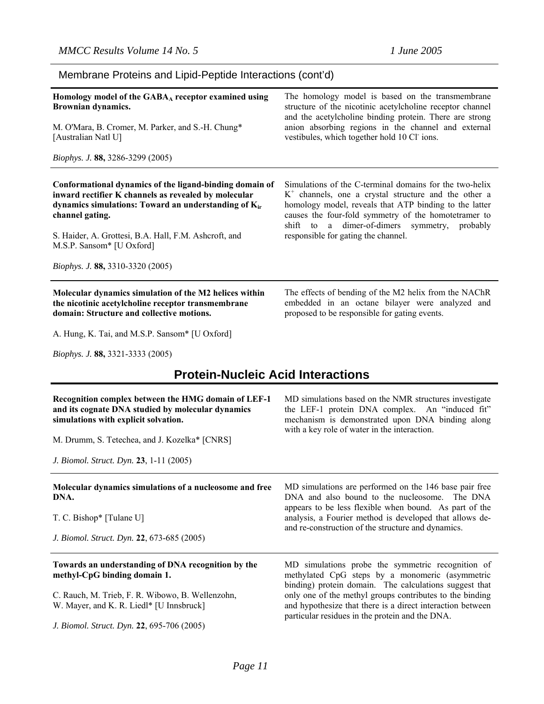| Membrane Proteins and Lipid-Peptide Interactions (cont'd) |  |  |  |  |  |  |  |
|-----------------------------------------------------------|--|--|--|--|--|--|--|
|-----------------------------------------------------------|--|--|--|--|--|--|--|

| Homology model of the $GABA_A$ receptor examined using                                                                                                                                                                                                                                                                                  | The homology model is based on the transmembrane                                                                                                                                                                                                                                                                             |
|-----------------------------------------------------------------------------------------------------------------------------------------------------------------------------------------------------------------------------------------------------------------------------------------------------------------------------------------|------------------------------------------------------------------------------------------------------------------------------------------------------------------------------------------------------------------------------------------------------------------------------------------------------------------------------|
| Brownian dynamics.                                                                                                                                                                                                                                                                                                                      | structure of the nicotinic acetylcholine receptor channel                                                                                                                                                                                                                                                                    |
| M. O'Mara, B. Cromer, M. Parker, and S.-H. Chung*                                                                                                                                                                                                                                                                                       | and the acetylcholine binding protein. There are strong                                                                                                                                                                                                                                                                      |
| [Australian Natl U]                                                                                                                                                                                                                                                                                                                     | anion absorbing regions in the channel and external                                                                                                                                                                                                                                                                          |
| <i>Biophys. J.</i> 88, 3286-3299 (2005)                                                                                                                                                                                                                                                                                                 | vestibules, which together hold 10 Cl ions.                                                                                                                                                                                                                                                                                  |
| Conformational dynamics of the ligand-binding domain of<br>inward rectifier K channels as revealed by molecular<br>dynamics simulations: Toward an understanding of K <sub>ir</sub><br>channel gating.<br>S. Haider, A. Grottesi, B.A. Hall, F.M. Ashcroft, and<br>M.S.P. Sansom* [U Oxford]<br><i>Biophys. J.</i> 88, 3310-3320 (2005) | Simulations of the C-terminal domains for the two-helix<br>$K^+$ channels, one a crystal structure and the other a<br>homology model, reveals that ATP binding to the latter<br>causes the four-fold symmetry of the homotetramer to<br>shift to a dimer-of-dimers symmetry, probably<br>responsible for gating the channel. |
| Molecular dynamics simulation of the M2 helices within                                                                                                                                                                                                                                                                                  | The effects of bending of the M2 helix from the NAChR                                                                                                                                                                                                                                                                        |
| the nicotinic acetylcholine receptor transmembrane                                                                                                                                                                                                                                                                                      | embedded in an octane bilayer were analyzed and                                                                                                                                                                                                                                                                              |
| domain: Structure and collective motions.                                                                                                                                                                                                                                                                                               | proposed to be responsible for gating events.                                                                                                                                                                                                                                                                                |

A. Hung, K. Tai, and M.S.P. Sansom\* [U Oxford]

*Biophys. J.* **88,** 3321-3333 (2005)

# **Protein-Nucleic Acid Interactions**

| Recognition complex between the HMG domain of LEF-1<br>and its cognate DNA studied by molecular dynamics<br>simulations with explicit solvation. | MD simulations based on the NMR structures investigate<br>the LEF-1 protein DNA complex. An "induced fit"<br>mechanism is demonstrated upon DNA binding along<br>with a key role of water in the interaction. |  |  |
|--------------------------------------------------------------------------------------------------------------------------------------------------|---------------------------------------------------------------------------------------------------------------------------------------------------------------------------------------------------------------|--|--|
| M. Drumm, S. Tetechea, and J. Kozelka* [CNRS]                                                                                                    |                                                                                                                                                                                                               |  |  |
| J. Biomol. Struct. Dyn. 23, 1-11 (2005)                                                                                                          |                                                                                                                                                                                                               |  |  |
| Molecular dynamics simulations of a nucleosome and free<br>DNA.                                                                                  | MD simulations are performed on the 146 base pair free<br>DNA and also bound to the nucleosome. The DNA<br>appears to be less flexible when bound. As part of the                                             |  |  |
| T. C. Bishop* [Tulane U]                                                                                                                         | analysis, a Fourier method is developed that allows de-<br>and re-construction of the structure and dynamics.                                                                                                 |  |  |
| J. Biomol. Struct. Dyn. 22, 673-685 (2005)                                                                                                       |                                                                                                                                                                                                               |  |  |
| Towards an understanding of DNA recognition by the<br>methyl-CpG binding domain 1.                                                               | MD simulations probe the symmetric recognition of<br>methylated CpG steps by a monomeric (asymmetric<br>binding) protein domain. The calculations suggest that                                                |  |  |
| C. Rauch, M. Trieb, F. R. Wibowo, B. Wellenzohn,<br>W. Mayer, and K. R. Liedl* [U Innsbruck]                                                     | only one of the methyl groups contributes to the binding<br>and hypothesize that there is a direct interaction between<br>particular residues in the protein and the DNA.                                     |  |  |
| J. Biomol. Struct. Dyn. 22, 695-706 (2005)                                                                                                       |                                                                                                                                                                                                               |  |  |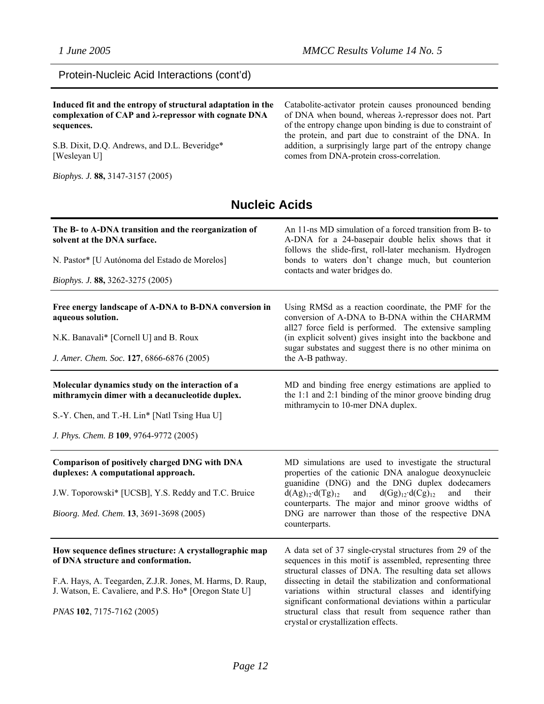### Protein-Nucleic Acid Interactions (cont'd)

### **Induced fit and the entropy of structural adaptation in the complexation of CAP and λ-repressor with cognate DNA sequences.**

S.B. Dixit, D.Q. Andrews, and D.L. Beveridge\* [Wesleyan U]

*Biophys. J.* **88,** 3147-3157 (2005)

Catabolite-activator protein causes pronounced bending of DNA when bound, whereas λ-repressor does not. Part of the entropy change upon binding is due to constraint of the protein, and part due to constraint of the DNA. In addition, a surprisingly large part of the entropy change comes from DNA-protein cross-correlation.

# **Nucleic Acids**

| The B- to A-DNA transition and the reorganization of<br>solvent at the DNA surface.<br>N. Pastor* [U Autónoma del Estado de Morelos]<br>Biophys. J. 88, 3262-3275 (2005)                                                                          | An 11-ns MD simulation of a forced transition from B- to<br>A-DNA for a 24-basepair double helix shows that it<br>follows the slide-first, roll-later mechanism. Hydrogen<br>bonds to waters don't change much, but counterion<br>contacts and water bridges do.                                                                                                                                                                                                     |  |
|---------------------------------------------------------------------------------------------------------------------------------------------------------------------------------------------------------------------------------------------------|----------------------------------------------------------------------------------------------------------------------------------------------------------------------------------------------------------------------------------------------------------------------------------------------------------------------------------------------------------------------------------------------------------------------------------------------------------------------|--|
| Free energy landscape of A-DNA to B-DNA conversion in<br>aqueous solution.<br>N.K. Banavali* [Cornell U] and B. Roux<br>J. Amer. Chem. Soc. 127, 6866-6876 (2005)                                                                                 | Using RMSd as a reaction coordinate, the PMF for the<br>conversion of A-DNA to B-DNA within the CHARMM<br>all27 force field is performed. The extensive sampling<br>(in explicit solvent) gives insight into the backbone and<br>sugar substates and suggest there is no other minima on<br>the A-B pathway.                                                                                                                                                         |  |
| Molecular dynamics study on the interaction of a<br>mithramycin dimer with a decanucleotide duplex.<br>S.-Y. Chen, and T.-H. Lin* [Natl Tsing Hua U]<br>J. Phys. Chem. B 109, 9764-9772 (2005)                                                    | MD and binding free energy estimations are applied to<br>the 1:1 and 2:1 binding of the minor groove binding drug<br>mithramycin to 10-mer DNA duplex.                                                                                                                                                                                                                                                                                                               |  |
| Comparison of positively charged DNG with DNA<br>duplexes: A computational approach.<br>J.W. Toporowski* [UCSB], Y.S. Reddy and T.C. Bruice<br>Bioorg. Med. Chem. 13, 3691-3698 (2005)                                                            | MD simulations are used to investigate the structural<br>properties of the cationic DNA analogue deoxynucleic<br>guanidine (DNG) and the DNG duplex dodecamers<br>$d(Ag)_{12} \cdot d(Tg)_{12}$<br>and<br>$d(Gg)_{12} \cdot d(Cg)_{12}$<br>and<br>their<br>counterparts. The major and minor groove widths of<br>DNG are narrower than those of the respective DNA<br>counterparts.                                                                                  |  |
| How sequence defines structure: A crystallographic map<br>of DNA structure and conformation.<br>F.A. Hays, A. Teegarden, Z.J.R. Jones, M. Harms, D. Raup,<br>J. Watson, E. Cavaliere, and P.S. Ho* [Oregon State U]<br>PNAS 102, 7175-7162 (2005) | A data set of 37 single-crystal structures from 29 of the<br>sequences in this motif is assembled, representing three<br>structural classes of DNA. The resulting data set allows<br>dissecting in detail the stabilization and conformational<br>variations within structural classes and identifying<br>significant conformational deviations within a particular<br>structural class that result from sequence rather than<br>crystal or crystallization effects. |  |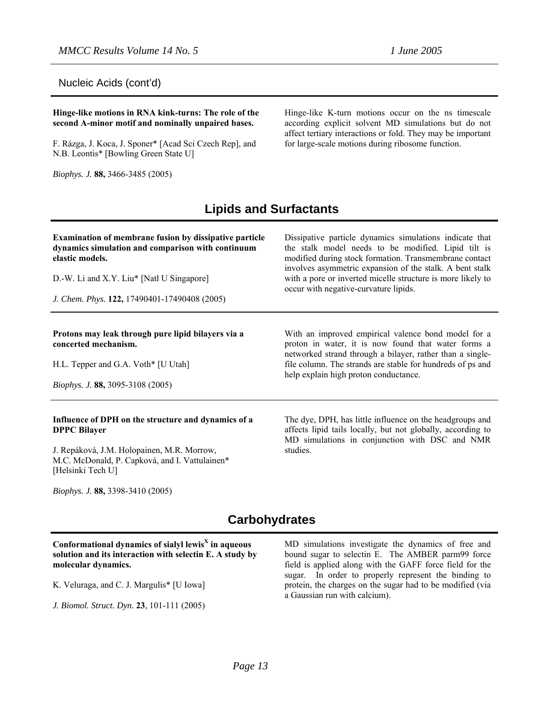Nucleic Acids (cont'd)

**Hinge-like motions in RNA kink-turns: The role of the second A-minor motif and nominally unpaired bases.**

F. Rázga, J. Koca, J. Sponer\* [Acad Sci Czech Rep], and N.B. Leontis\* [Bowling Green State U]

*Biophys. J.* **88,** 3466-3485 (2005)

Hinge-like K-turn motions occur on the ns timescale according explicit solvent MD simulations but do not affect tertiary interactions or fold. They may be important for large-scale motions during ribosome function.

# **Lipids and Surfactants**

| <b>Examination of membrane fusion by dissipative particle</b><br>dynamics simulation and comparison with continuum<br>elastic models.<br>D.-W. Li and X.Y. Liu* [Natl U Singapore]<br>J. Chem. Phys. 122, 17490401-17490408 (2005) | Dissipative particle dynamics simulations indicate that<br>the stalk model needs to be modified. Lipid tilt is<br>modified during stock formation. Transmembrane contact<br>involves asymmetric expansion of the stalk. A bent stalk<br>with a pore or inverted micelle structure is more likely to<br>occur with negative-curvature lipids. |  |
|------------------------------------------------------------------------------------------------------------------------------------------------------------------------------------------------------------------------------------|----------------------------------------------------------------------------------------------------------------------------------------------------------------------------------------------------------------------------------------------------------------------------------------------------------------------------------------------|--|
| Protons may leak through pure lipid bilayers via a<br>concerted mechanism.<br>H.L. Tepper and G.A. Voth* [U Utah]<br>Biophys. J. 88, 3095-3108 (2005)                                                                              | With an improved empirical valence bond model for a<br>proton in water, it is now found that water forms a<br>networked strand through a bilayer, rather than a single-<br>file column. The strands are stable for hundreds of ps and<br>help explain high proton conductance.                                                               |  |
| Influence of DPH on the structure and dynamics of a<br><b>DPPC Bilayer</b><br>J. Repáková, J.M. Holopainen, M.R. Morrow,<br>M.C. McDonald, P. Capková, and I. Vattulainen*<br>[Helsinki Tech U]                                    | The dye, DPH, has little influence on the headgroups and<br>affects lipid tails locally, but not globally, according to<br>MD simulations in conjunction with DSC and NMR<br>studies.                                                                                                                                                        |  |

*Biophys. J.* **88,** 3398-3410 (2005)

# **Carbohydrates**

### **Conformational dynamics of sialyl lewis X in aqueous solution and its interaction with selectin E. A study by molecular dynamics.**

K. Veluraga, and C. J. Margulis\* [U Iowa]

*J. Biomol. Struct. Dyn.* **23**, 101-111 (2005)

MD simulations investigate the dynamics of free and bound sugar to selectin E. The AMBER parm99 force field is applied along with the GAFF force field for the sugar. In order to properly represent the binding to protein, the charges on the sugar had to be modified (via a Gaussian run with calcium).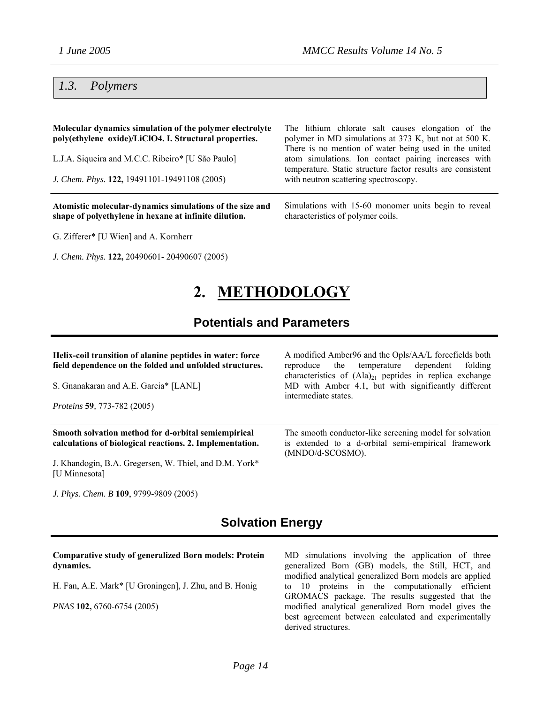# *1.3. Polymers*

| Molecular dynamics simulation of the polymer electrolyte<br>poly(ethylene oxide)/LiClO4. I. Structural properties. | The lithium chlorate salt causes elongation of the<br>polymer in MD simulations at 373 K, but not at 500 K.<br>There is no mention of water being used in the united |
|--------------------------------------------------------------------------------------------------------------------|----------------------------------------------------------------------------------------------------------------------------------------------------------------------|
| L.J.A. Siqueira and M.C.C. Ribeiro* [U São Paulo]                                                                  | atom simulations. Ion contact pairing increases with<br>temperature. Static structure factor results are consistent                                                  |
| J. Chem. Phys. 122, 19491101-19491108 (2005)                                                                       | with neutron scattering spectroscopy.                                                                                                                                |
| Atomistic molecular-dynamics simulations of the size and<br>shape of polyethylene in hexane at infinite dilution.  | Simulations with 15-60 monomer units begin to reveal<br>characteristics of polymer coils.                                                                            |

G. Zifferer\* [U Wien] and A. Kornherr

*J. Chem. Phys.* **122,** 20490601- 20490607 (2005)

# characteristics of polymer coils.

# **2. METHODOLOGY**

# **Potentials and Parameters**

| Helix-coil transition of alanine peptides in water: force<br>field dependence on the folded and unfolded structures.<br>S. Gnanakaran and A.E. Garcia* [LANL] | A modified Amber96 and the Opls/AA/L forcefields both<br>reproduce the temperature dependent<br>folding<br>characteristics of $(Ala)_{21}$ peptides in replica exchange<br>MD with Amber 4.1, but with significantly different |
|---------------------------------------------------------------------------------------------------------------------------------------------------------------|--------------------------------------------------------------------------------------------------------------------------------------------------------------------------------------------------------------------------------|
| <i>Proteins</i> 59, 773-782 (2005)                                                                                                                            | intermediate states.                                                                                                                                                                                                           |
| Smooth solvation method for d-orbital semiempirical<br>calculations of biological reactions. 2. Implementation.                                               | The smooth conductor-like screening model for solvation<br>is extended to a d-orbital semi-empirical framework<br>(MNDO/d-SCOSMO).                                                                                             |
| J. Khandogin, B.A. Gregersen, W. Thiel, and D.M. York*<br>[U Minnesota]                                                                                       |                                                                                                                                                                                                                                |

*J. Phys. Chem. B* **109**, 9799-9809 (2005)

## **Solvation Energy**

### **Comparative study of generalized Born models: Protein dynamics.**

H. Fan, A.E. Mark\* [U Groningen], J. Zhu, and B. Honig

*PNAS* **102,** 6760-6754 (2005)

MD simulations involving the application of three generalized Born (GB) models, the Still, HCT, and modified analytical generalized Born models are applied to 10 proteins in the computationally efficient GROMACS package. The results suggested that the modified analytical generalized Born model gives the best agreement between calculated and experimentally derived structures.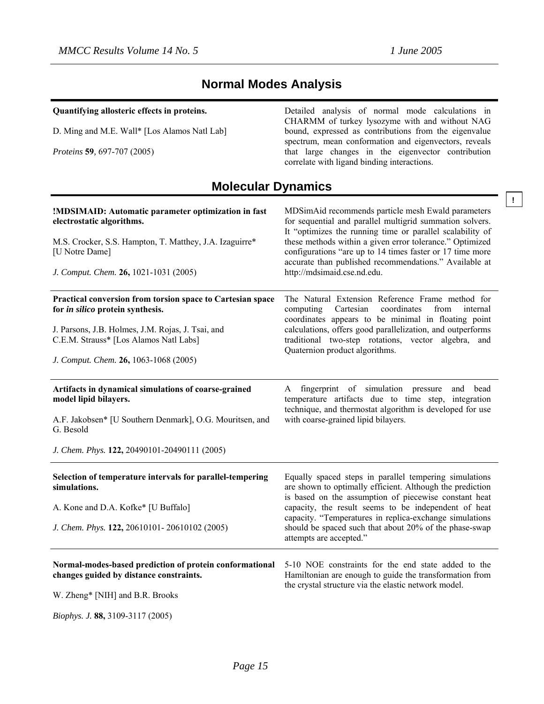**Quantifying allosteric effects in proteins.**

Detailed analysis of normal mode calculations in

# **Normal Modes Analysis**

| D. Ming and M.E. Wall* [Los Alamos Natl Lab]<br>Proteins 59, 697-707 (2005)                        | CHARMM of turkey lysozyme with and without NAG<br>bound, expressed as contributions from the eigenvalue<br>spectrum, mean conformation and eigenvectors, reveals<br>that large changes in the eigenvector contribution<br>correlate with ligand binding interactions. |
|----------------------------------------------------------------------------------------------------|-----------------------------------------------------------------------------------------------------------------------------------------------------------------------------------------------------------------------------------------------------------------------|
| <b>Molecular Dynamics</b>                                                                          |                                                                                                                                                                                                                                                                       |
| !MDSIMAID: Automatic parameter optimization in fast<br>electrostatic algorithms.                   | MDSimAid recommends particle mesh Ewald parameters<br>for sequential and parallel multigrid summation solvers.<br>It "optimizes the running time or parallel scalability of                                                                                           |
| M.S. Crocker, S.S. Hampton, T. Matthey, J.A. Izaguirre*<br>[U Notre Dame]                          | these methods within a given error tolerance." Optimized<br>configurations "are up to 14 times faster or 17 time more<br>accurate than published recommendations." Available at                                                                                       |
| J. Comput. Chem. 26, 1021-1031 (2005)                                                              | http://mdsimaid.cse.nd.edu.                                                                                                                                                                                                                                           |
| Practical conversion from torsion space to Cartesian space<br>for in silico protein synthesis.     | The Natural Extension Reference Frame method for<br>Cartesian<br>computing<br>coordinates<br>from<br>internal<br>coordinates appears to be minimal in floating point                                                                                                  |
| J. Parsons, J.B. Holmes, J.M. Rojas, J. Tsai, and<br>C.E.M. Strauss* [Los Alamos Natl Labs]        | calculations, offers good parallelization, and outperforms<br>traditional two-step rotations, vector algebra,<br>and<br>Quaternion product algorithms.                                                                                                                |
| J. Comput. Chem. 26, 1063-1068 (2005)                                                              |                                                                                                                                                                                                                                                                       |
| Artifacts in dynamical simulations of coarse-grained<br>model lipid bilayers.                      | fingerprint of simulation pressure<br>and bead<br>A<br>temperature artifacts due to time step, integration<br>technique, and thermostat algorithm is developed for use                                                                                                |
| A.F. Jakobsen* [U Southern Denmark], O.G. Mouritsen, and<br>G. Besold                              | with coarse-grained lipid bilayers.                                                                                                                                                                                                                                   |
| J. Chem. Phys. 122, 20490101-20490111 (2005)                                                       |                                                                                                                                                                                                                                                                       |
| Selection of temperature intervals for parallel-tempering<br>simulations.                          | Equally spaced steps in parallel tempering simulations<br>are shown to optimally efficient. Although the prediction<br>is based on the assumption of piecewise constant heat                                                                                          |
| A. Kone and D.A. Kofke* [U Buffalo]                                                                | capacity, the result seems to be independent of heat                                                                                                                                                                                                                  |
| J. Chem. Phys. 122, 20610101-20610102 (2005)                                                       | capacity. "Temperatures in replica-exchange simulations<br>should be spaced such that about 20% of the phase-swap<br>attempts are accepted."                                                                                                                          |
| Normal-modes-based prediction of protein conformational<br>changes guided by distance constraints. | 5-10 NOE constraints for the end state added to the<br>Hamiltonian are enough to guide the transformation from<br>the crystal structure via the elastic network model.                                                                                                |
| W. Zheng* [NIH] and B.R. Brooks                                                                    |                                                                                                                                                                                                                                                                       |
| Biophys. J. 88, 3109-3117 (2005)                                                                   |                                                                                                                                                                                                                                                                       |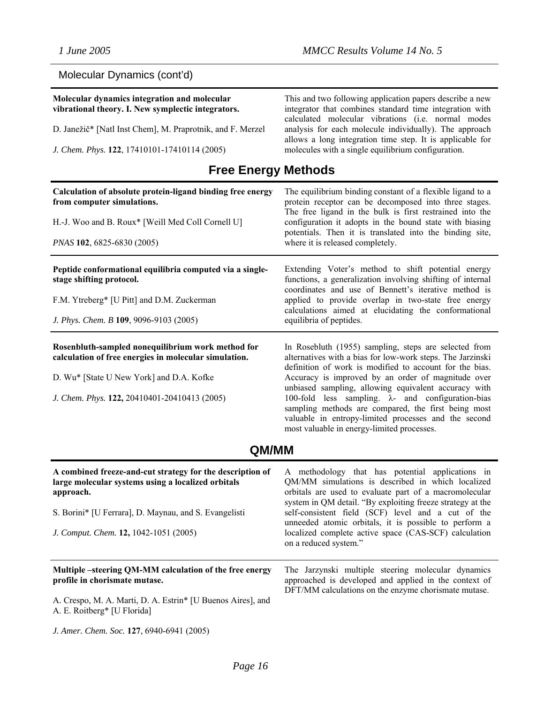# Molecular Dynamics (cont'd)

| Molecular dynamics integration and molecular<br>vibrational theory. I. New symplectic integrators.<br>D. Janežič* [Natl Inst Chem], M. Praprotnik, and F. Merzel<br>J. Chem. Phys. 122, 17410101-17410114 (2005) | This and two following application papers describe a new<br>integrator that combines standard time integration with<br>calculated molecular vibrations (i.e. normal modes<br>analysis for each molecule individually). The approach<br>allows a long integration time step. It is applicable for<br>molecules with a single equilibrium configuration. |
|------------------------------------------------------------------------------------------------------------------------------------------------------------------------------------------------------------------|--------------------------------------------------------------------------------------------------------------------------------------------------------------------------------------------------------------------------------------------------------------------------------------------------------------------------------------------------------|
| <b>Free Energy Methods</b>                                                                                                                                                                                       |                                                                                                                                                                                                                                                                                                                                                        |
| Calculation of absolute protein-ligand binding free energy<br>from computer simulations.                                                                                                                         | The equilibrium binding constant of a flexible ligand to a<br>protein receptor can be decomposed into three stages.                                                                                                                                                                                                                                    |
| H.-J. Woo and B. Roux* [Weill Med Coll Cornell U]                                                                                                                                                                | The free ligand in the bulk is first restrained into the<br>configuration it adopts in the bound state with biasing<br>potentials. Then it is translated into the binding site,                                                                                                                                                                        |
| PNAS 102, 6825-6830 (2005)                                                                                                                                                                                       | where it is released completely.                                                                                                                                                                                                                                                                                                                       |
| Peptide conformational equilibria computed via a single-<br>stage shifting protocol.                                                                                                                             | Extending Voter's method to shift potential energy<br>functions, a generalization involving shifting of internal<br>coordinates and use of Bennett's iterative method is                                                                                                                                                                               |
| F.M. Ytreberg* [U Pitt] and D.M. Zuckerman                                                                                                                                                                       | applied to provide overlap in two-state free energy<br>calculations aimed at elucidating the conformational                                                                                                                                                                                                                                            |
| J. Phys. Chem. B 109, 9096-9103 (2005)                                                                                                                                                                           | equilibria of peptides.                                                                                                                                                                                                                                                                                                                                |
| Rosenbluth-sampled nonequilibrium work method for<br>calculation of free energies in molecular simulation.                                                                                                       | In Rosebluth (1955) sampling, steps are selected from<br>alternatives with a bias for low-work steps. The Jarzinski<br>definition of work is modified to account for the bias.                                                                                                                                                                         |
| D. Wu* [State U New York] and D.A. Kofke                                                                                                                                                                         | Accuracy is improved by an order of magnitude over<br>unbiased sampling, allowing equivalent accuracy with                                                                                                                                                                                                                                             |
| J. Chem. Phys. 122, 20410401-20410413 (2005)                                                                                                                                                                     | 100-fold less sampling. $\lambda$ - and configuration-bias<br>sampling methods are compared, the first being most<br>valuable in entropy-limited processes and the second<br>most valuable in energy-limited processes.                                                                                                                                |
| <b>QM/MM</b>                                                                                                                                                                                                     |                                                                                                                                                                                                                                                                                                                                                        |

| A combined freeze-and-cut strategy for the description of<br>large molecular systems using a localized orbitals<br>approach.<br>S. Borini* [U Ferrara], D. Maynau, and S. Evangelisti<br>J. Comput. Chem. 12, 1042-1051 (2005) | A methodology that has potential applications in<br>QM/MM simulations is described in which localized<br>orbitals are used to evaluate part of a macromolecular<br>system in QM detail. "By exploiting freeze strategy at the<br>self-consistent field (SCF) level and a cut of the<br>unneeded atomic orbitals, it is possible to perform a<br>localized complete active space (CAS-SCF) calculation<br>on a reduced system." |
|--------------------------------------------------------------------------------------------------------------------------------------------------------------------------------------------------------------------------------|--------------------------------------------------------------------------------------------------------------------------------------------------------------------------------------------------------------------------------------------------------------------------------------------------------------------------------------------------------------------------------------------------------------------------------|
| Multiple-steering QM-MM calculation of the free energy<br>profile in chorismate mutase.<br>A. Crespo, M. A. Marti, D. A. Estrin* [U Buenos Aires], and<br>A. E. Roitberg* [U Florida]                                          | The Jarzynski multiple steering molecular dynamics<br>approached is developed and applied in the context of<br>DFT/MM calculations on the enzyme chorismate mutase.                                                                                                                                                                                                                                                            |

*J. Amer. Chem. Soc.* **127**, 6940-6941 (2005)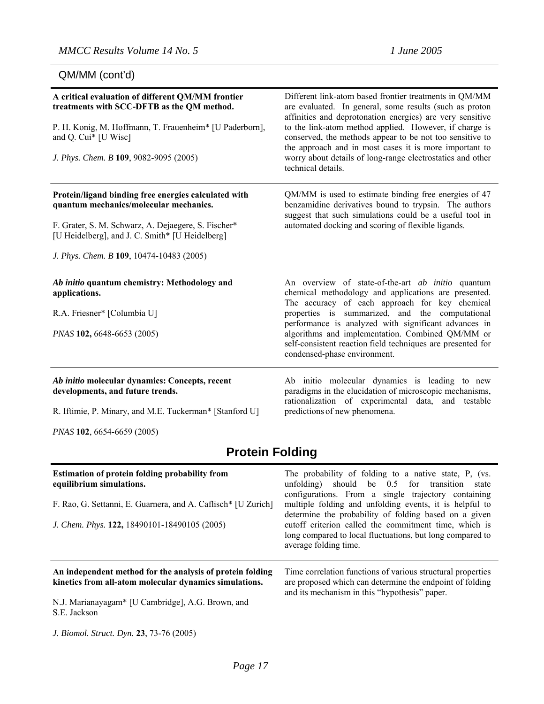QM/MM (cont'd)

| A critical evaluation of different QM/MM frontier<br>treatments with SCC-DFTB as the QM method.<br>P. H. Konig, M. Hoffmann, T. Frauenheim* [U Paderborn],<br>and Q. Cui* [U Wisc]<br>J. Phys. Chem. B 109, 9082-9095 (2005)                         | Different link-atom based frontier treatments in QM/MM<br>are evaluated. In general, some results (such as proton<br>affinities and deprotonation energies) are very sensitive<br>to the link-atom method applied. However, if charge is<br>conserved, the methods appear to be not too sensitive to<br>the approach and in most cases it is more important to<br>worry about details of long-range electrostatics and other<br>technical details. |  |
|------------------------------------------------------------------------------------------------------------------------------------------------------------------------------------------------------------------------------------------------------|----------------------------------------------------------------------------------------------------------------------------------------------------------------------------------------------------------------------------------------------------------------------------------------------------------------------------------------------------------------------------------------------------------------------------------------------------|--|
| Protein/ligand binding free energies calculated with<br>quantum mechanics/molecular mechanics.<br>F. Grater, S. M. Schwarz, A. Dejaegere, S. Fischer*<br>[U Heidelberg], and J. C. Smith* [U Heidelberg]<br>J. Phys. Chem. B 109, 10474-10483 (2005) | QM/MM is used to estimate binding free energies of 47<br>benzamidine derivatives bound to trypsin. The authors<br>suggest that such simulations could be a useful tool in<br>automated docking and scoring of flexible ligands.                                                                                                                                                                                                                    |  |
| Ab initio quantum chemistry: Methodology and<br>applications.<br>R.A. Friesner* [Columbia U]<br>PNAS 102, 6648-6653 (2005)                                                                                                                           | An overview of state-of-the-art <i>ab initio</i> quantum<br>chemical methodology and applications are presented.<br>The accuracy of each approach for key chemical<br>properties is summarized, and the computational<br>performance is analyzed with significant advances in<br>algorithms and implementation. Combined QM/MM or<br>self-consistent reaction field techniques are presented for<br>condensed-phase environment.                   |  |
| Ab initio molecular dynamics: Concepts, recent<br>developments, and future trends.<br>R. Iftimie, P. Minary, and M.E. Tuckerman* [Stanford U]                                                                                                        | Ab initio molecular dynamics is leading to new<br>paradigms in the elucidation of microscopic mechanisms,<br>rationalization of experimental data, and testable<br>predictions of new phenomena.                                                                                                                                                                                                                                                   |  |
| PNAS 102, 6654-6659 (2005)                                                                                                                                                                                                                           |                                                                                                                                                                                                                                                                                                                                                                                                                                                    |  |
| <b>Protein Folding</b>                                                                                                                                                                                                                               |                                                                                                                                                                                                                                                                                                                                                                                                                                                    |  |

# **Protein Folding**

| <b>Estimation of protein folding probability from</b><br>equilibrium simulations.<br>F. Rao, G. Settanni, E. Guarnera, and A. Caflisch* [U Zurich]<br>J. Chem. Phys. 122, 18490101-18490105 (2005) | The probability of folding to a native state, P, (vs.<br>unfolding) should be 0.5 for transition state<br>configurations. From a single trajectory containing<br>multiple folding and unfolding events, it is helpful to<br>determine the probability of folding based on a given<br>cutoff criterion called the commitment time, which is<br>long compared to local fluctuations, but long compared to<br>average folding time. |
|----------------------------------------------------------------------------------------------------------------------------------------------------------------------------------------------------|----------------------------------------------------------------------------------------------------------------------------------------------------------------------------------------------------------------------------------------------------------------------------------------------------------------------------------------------------------------------------------------------------------------------------------|
| An independent method for the analysis of protein folding<br>kinetics from all-atom molecular dynamics simulations.<br>N.J. Marianayagam* [U Cambridge], A.G. Brown, and<br>S.E. Jackson           | Time correlation functions of various structural properties<br>are proposed which can determine the endpoint of folding<br>and its mechanism in this "hypothesis" paper.                                                                                                                                                                                                                                                         |

*J. Biomol. Struct. Dyn.* **23**, 73-76 (2005)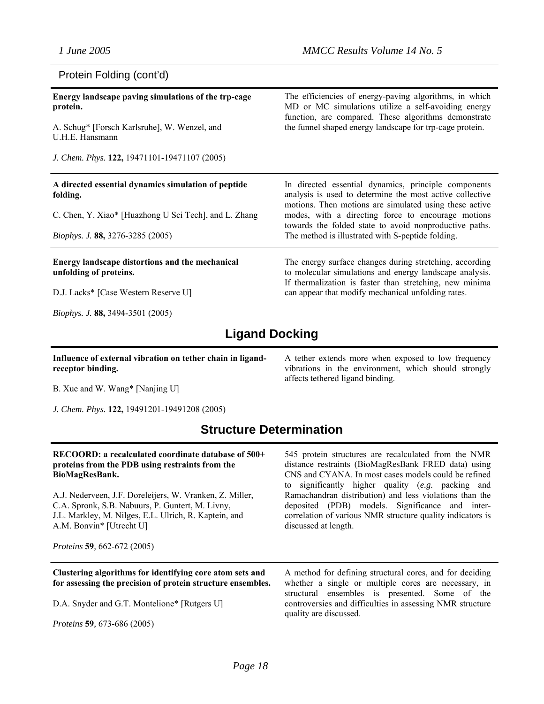### Protein Folding (cont'd)

| Energy landscape paving simulations of the trp-cage<br>protein.           | The efficiencies of energy-paving algorithms, in which<br>MD or MC simulations utilize a self-avoiding energy<br>function, are compared. These algorithms demonstrate<br>the funnel shaped energy landscape for trp-cage protein. |  |
|---------------------------------------------------------------------------|-----------------------------------------------------------------------------------------------------------------------------------------------------------------------------------------------------------------------------------|--|
| A. Schug* [Forsch Karlsruhe], W. Wenzel, and<br>U.H.E. Hansmann           |                                                                                                                                                                                                                                   |  |
| J. Chem. Phys. 122, 19471101-19471107 (2005)                              |                                                                                                                                                                                                                                   |  |
| A directed essential dynamics simulation of peptide<br>folding.           | In directed essential dynamics, principle components<br>analysis is used to determine the most active collective<br>motions. Then motions are simulated using these active                                                        |  |
| C. Chen, Y. Xiao* [Huazhong U Sci Tech], and L. Zhang                     | modes, with a directing force to encourage motions<br>towards the folded state to avoid nonproductive paths.                                                                                                                      |  |
| <i>Biophys. J.</i> 88, 3276-3285 (2005)                                   | The method is illustrated with S-peptide folding.                                                                                                                                                                                 |  |
| Energy landscape distortions and the mechanical<br>unfolding of proteins. | The energy surface changes during stretching, according<br>to molecular simulations and energy landscape analysis.<br>If thermalization is faster than stretching, new minima                                                     |  |
| D.J. Lacks* [Case Western Reserve U]                                      | can appear that modify mechanical unfolding rates.                                                                                                                                                                                |  |
| <i>Biophys. J.</i> 88, 3494-3501 (2005)                                   |                                                                                                                                                                                                                                   |  |
| <b>Ligand Docking</b>                                                     |                                                                                                                                                                                                                                   |  |

**Influence of external vibration on tether chain in ligandreceptor binding.** 

A tether extends more when exposed to low frequency vibrations in the environment, which should strongly affects tethered ligand binding.

B. Xue and W. Wang\* [Nanjing U]

*J. Chem. Phys.* **122,** 19491201-19491208 (2005)

# **Structure Determination**

### **RECOORD: a recalculated coordinate database of 500+ proteins from the PDB using restraints from the BioMagResBank.**

A.J. Nederveen, J.F. Doreleijers, W. Vranken, Z. Miller, C.A. Spronk, S.B. Nabuurs, P. Guntert, M. Livny, J.L. Markley, M. Nilges, E.L. Ulrich, R. Kaptein, and A.M. Bonvin\* [Utrecht U]

545 protein structures are recalculated from the NMR distance restraints (BioMagResBank FRED data) using CNS and CYANA. In most cases models could be refined to significantly higher quality (*e.g.* packing and Ramachandran distribution) and less violations than the deposited (PDB) models. Significance and intercorrelation of various NMR structure quality indicators is discussed at length.

*Proteins* **59***,* 662-672 (2005)

**Clustering algorithms for identifying core atom sets and for assessing the precision of protein structure ensembles.**

D.A. Snyder and G.T. Montelione\* [Rutgers U]

*Proteins* **59***,* 673-686 (2005)

A method for defining structural cores, and for deciding whether a single or multiple cores are necessary, in structural ensembles is presented. Some of the controversies and difficulties in assessing NMR structure quality are discussed.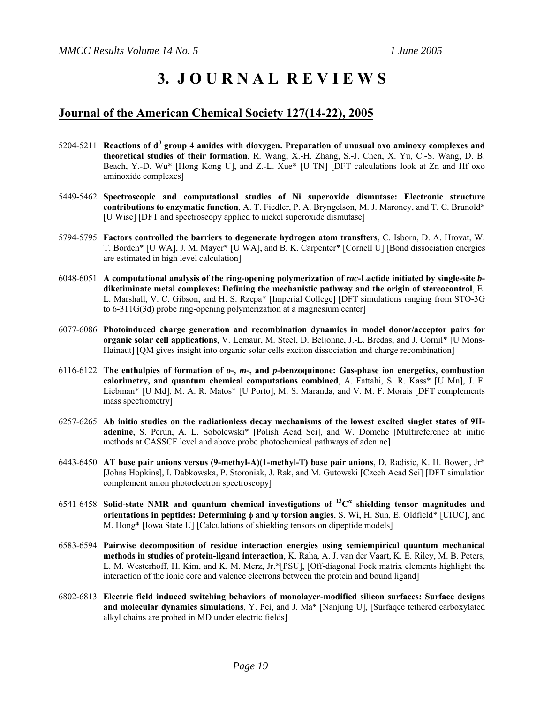# **3. J O U R N A L R E V I E W S**

## **Journal of the American Chemical Society 127(14-22), 2005**

- 5204-5211 Reactions of d<sup>0</sup> group 4 amides with dioxygen. Preparation of unusual oxo aminoxy complexes and **theoretical studies of their formation**, R. Wang, X.-H. Zhang, S.-J. Chen, X. Yu, C.-S. Wang, D. B. Beach, Y.-D. Wu\* [Hong Kong U], and Z.-L. Xue\* [U TN] [DFT calculations look at Zn and Hf oxo aminoxide complexes]
- 5449-5462 **Spectroscopic and computational studies of Ni superoxide dismutase: Electronic structure contributions to enzymatic function**, A. T. Fiedler, P. A. Bryngelson, M. J. Maroney, and T. C. Brunold\* [U Wisc] [DFT and spectroscopy applied to nickel superoxide dismutase]
- 5794-5795 **Factors controlled the barriers to degenerate hydrogen atom transfters**, C. Isborn, D. A. Hrovat, W. T. Borden\* [U WA], J. M. Mayer\* [U WA], and B. K. Carpenter\* [Cornell U] [Bond dissociation energies are estimated in high level calculation]
- 6048-6051 **A computational analysis of the ring-opening polymerization of** *rac***-Lactide initiated by single-site** *b***diketiminate metal complexes: Defining the mechanistic pathway and the origin of stereocontrol**, E. L. Marshall, V. C. Gibson, and H. S. Rzepa\* [Imperial College] [DFT simulations ranging from STO-3G to 6-311G(3d) probe ring-opening polymerization at a magnesium center]
- 6077-6086 **Photoinduced charge generation and recombination dynamics in model donor/acceptor pairs for organic solar cell applications**, V. Lemaur, M. Steel, D. Beljonne, J.-L. Bredas, and J. Cornil\* [U Mons-Hainaut] [QM gives insight into organic solar cells exciton dissociation and charge recombination]
- 6116-6122 **The enthalpies of formation of** *o***-,** *m***-, and** *p***-benzoquinone: Gas-phase ion energetics, combustion calorimetry, and quantum chemical computations combined**, A. Fattahi, S. R. Kass\* [U Mn], J. F. Liebman\* [U Md], M. A. R. Matos\* [U Porto], M. S. Maranda, and V. M. F. Morais [DFT complements mass spectrometry]
- 6257-6265 **Ab initio studies on the radiationless decay mechanisms of the lowest excited singlet states of 9Hadenine**, S. Perun, A. L. Sobolewski\* [Polish Acad Sci], and W. Domche [Multireference ab initio methods at CASSCF level and above probe photochemical pathways of adenine]
- 6443-6450 **AT base pair anions versus (9-methyl-A)(1-methyl-T) base pair anions**, D. Radisic, K. H. Bowen, Jr\* [Johns Hopkins], I. Dabkowska, P. Storoniak, J. Rak, and M. Gutowski [Czech Acad Sci] [DFT simulation complement anion photoelectron spectroscopy]
- 6541-6458 **Solid-state NMR and quantum chemical investigations of 13C**<sup>α</sup>  **shielding tensor magnitudes and orientations in peptides: Determining** φ **and** ψ **torsion angles**, S. Wi, H. Sun, E. Oldfield\* [UIUC], and M. Hong\* [Iowa State U] [Calculations of shielding tensors on dipeptide models]
- 6583-6594 **Pairwise decomposition of residue interaction energies using semiempirical quantum mechanical methods in studies of protein-ligand interaction**, K. Raha, A. J. van der Vaart, K. E. Riley, M. B. Peters, L. M. Westerhoff, H. Kim, and K. M. Merz, Jr.\*[PSU], [Off-diagonal Fock matrix elements highlight the interaction of the ionic core and valence electrons between the protein and bound ligand]
- 6802-6813 **Electric field induced switching behaviors of monolayer-modified silicon surfaces: Surface designs and molecular dynamics simulations**, Y. Pei, and J. Ma\* [Nanjung U], [Surfaqce tethered carboxylated alkyl chains are probed in MD under electric fields]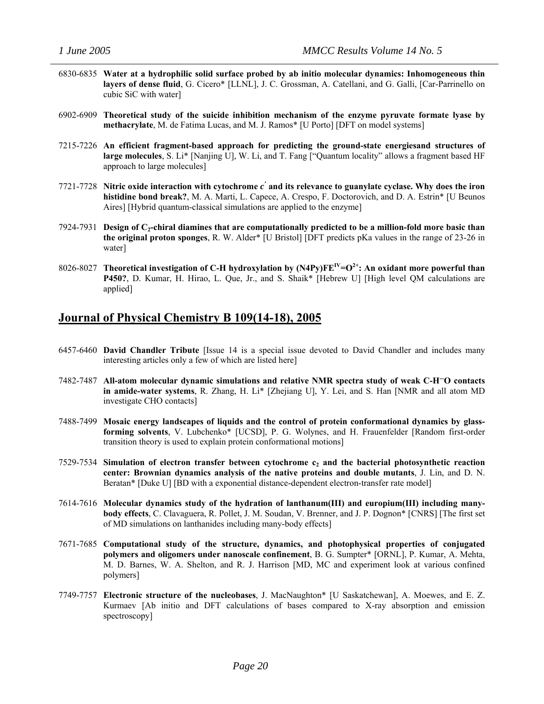- 6830-6835 **Water at a hydrophilic solid surface probed by ab initio molecular dynamics: Inhomogeneous thin layers of dense fluid**, G. Cicero\* [LLNL], J. C. Grossman, A. Catellani, and G. Galli, [Car-Parrinello on cubic SiC with water]
- 6902-6909 **Theoretical study of the suicide inhibition mechanism of the enzyme pyruvate formate lyase by methacrylate**, M. de Fatima Lucas, and M. J. Ramos\* [U Porto] [DFT on model systems]
- 7215-7226 **An efficient fragment-based approach for predicting the ground-state energiesand structures of large molecules**, S. Li\* [Nanjing U], W. Li, and T. Fang ["Quantum locality" allows a fragment based HF approach to large molecules]
- 7721-7728 **Nitric oxide interaction with cytochrome** *c '* **and its relevance to guanylate cyclase. Why does the iron histidine bond break?**, M. A. Marti, L. Capece, A. Crespo, F. Doctorovich, and D. A. Estrin\* [U Beunos Aires] [Hybrid quantum-classical simulations are applied to the enzyme]
- 7924-7931 **Design of C2-chiral diamines that are computationally predicted to be a million-fold more basic than the original proton sponges**, R. W. Alder\* [U Bristol] [DFT predicts pKa values in the range of 23-26 in water]
- 8026-8027 **Theoretical investigation of C-H hydroxylation by (N4Py)FEIV=O2+: An oxidant more powerful than P450?**, D. Kumar, H. Hirao, L. Que, Jr., and S. Shaik\* [Hebrew U] [High level QM calculations are applied]

### **Journal of Physical Chemistry B 109(14-18), 2005**

- 6457-6460 **David Chandler Tribute** [Issue 14 is a special issue devoted to David Chandler and includes many interesting articles only a few of which are listed here]
- 7482-7487 **All-atom molecular dynamic simulations and relative NMR spectra study of weak C-H...O contacts in amide-water systems**, R. Zhang, H. Li\* [Zhejiang U], Y. Lei, and S. Han [NMR and all atom MD investigate CHO contacts]
- 7488-7499 **Mosaic energy landscapes of liquids and the control of protein conformational dynamics by glassforming solvents**, V. Lubchenko\* [UCSD], P. G. Wolynes, and H. Frauenfelder [Random first-order transition theory is used to explain protein conformational motions]
- 7529-7534 **Simulation of electron transfer between cytochrome c2 and the bacterial photosynthetic reaction center: Brownian dynamics analysis of the native proteins and double mutants**, J. Lin, and D. N. Beratan\* [Duke U] [BD with a exponential distance-dependent electron-transfer rate model]
- 7614-7616 **Molecular dynamics study of the hydration of lanthanum(III) and europium(III) including manybody effects**, C. Clavaguera, R. Pollet, J. M. Soudan, V. Brenner, and J. P. Dognon\* [CNRS] [The first set of MD simulations on lanthanides including many-body effects]
- 7671-7685 **Computational study of the structure, dynamics, and photophysical properties of conjugated polymers and oligomers under nanoscale confinement**, B. G. Sumpter\* [ORNL], P. Kumar, A. Mehta, M. D. Barnes, W. A. Shelton, and R. J. Harrison [MD, MC and experiment look at various confined polymers]
- 7749-7757 **Electronic structure of the nucleobases**, J. MacNaughton\* [U Saskatchewan], A. Moewes, and E. Z. Kurmaev [Ab initio and DFT calculations of bases compared to X-ray absorption and emission spectroscopy]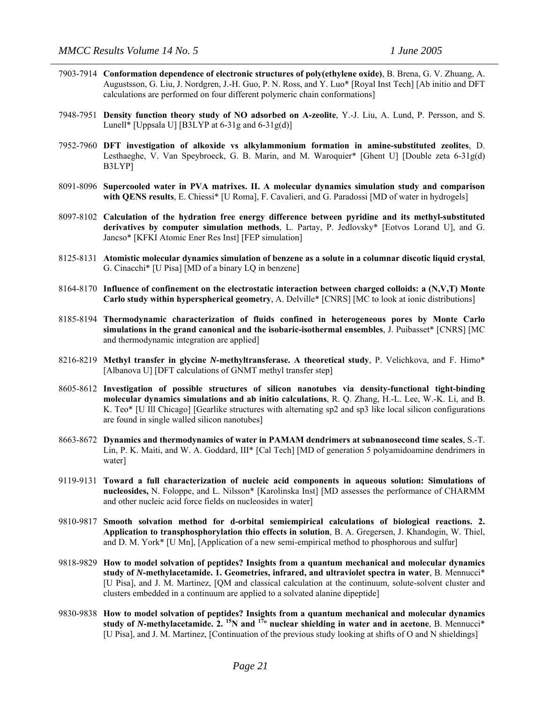- 7903-7914 **Conformation dependence of electronic structures of poly(ethylene oxide)**, B. Brena, G. V. Zhuang, A. Augustsson, G. Liu, J. Nordgren, J.-H. Guo, P. N. Ross, and Y. Luo\* [Royal Inst Tech] [Ab initio and DFT calculations are performed on four different polymeric chain conformations]
- 7948-7951 **Density function theory study of NO adsorbed on A-zeolite**, Y.-J. Liu, A. Lund, P. Persson, and S. Lunell\* [Uppsala U] [B3LYP at  $6-31g$  and  $6-31g(d)$ ]
- 7952-7960 **DFT investigation of alkoxide vs alkylammonium formation in amine-substituted zeolites**, D. Lesthaeghe, V. Van Speybroeck, G. B. Marin, and M. Waroquier\* [Ghent U] [Double zeta 6-31g(d) B3LYP]
- 8091-8096 **Supercooled water in PVA matrixes. II. A molecular dynamics simulation study and comparison with QENS results**, E. Chiessi\* [U Roma], F. Cavalieri, and G. Paradossi [MD of water in hydrogels]
- 8097-8102 **Calculation of the hydration free energy difference between pyridine and its methyl-substituted derivatives by computer simulation methods**, L. Partay, P. Jedlovsky\* [Eotvos Lorand U], and G. Jancso\* [KFKI Atomic Ener Res Inst] [FEP simulation]
- 8125-8131 **Atomistic molecular dynamics simulation of benzene as a solute in a columnar discotic liquid crystal**, G. Cinacchi\* [U Pisa] [MD of a binary LQ in benzene]
- 8164-8170 **Influence of confinement on the electrostatic interaction between charged colloids: a (N,V,T) Monte Carlo study within hyperspherical geometry**, A. Delville\* [CNRS] [MC to look at ionic distributions]
- 8185-8194 **Thermodynamic characterization of fluids confined in heterogeneous pores by Monte Carlo simulations in the grand canonical and the isobaric-isothermal ensembles**, J. Puibasset\* [CNRS] [MC and thermodynamic integration are applied]
- 8216-8219 **Methyl transfer in glycine** *N***-methyltransferase. A theoretical study**, P. Velichkova, and F. Himo\* [Albanova U] [DFT calculations of GNMT methyl transfer step]
- 8605-8612 **Investigation of possible structures of silicon nanotubes via density-functional tight-binding molecular dynamics simulations and ab initio calculations**, R. Q. Zhang, H.-L. Lee, W.-K. Li, and B. K. Teo\* [U Ill Chicago] [Gearlike structures with alternating sp2 and sp3 like local silicon configurations are found in single walled silicon nanotubes]
- 8663-8672 **Dynamics and thermodynamics of water in PAMAM dendrimers at subnanosecond time scales**, S.-T. Lin, P. K. Maiti, and W. A. Goddard, III\* [Cal Tech] [MD of generation 5 polyamidoamine dendrimers in water]
- 9119-9131 **Toward a full characterization of nucleic acid components in aqueous solution: Simulations of nucleosides,** N. Foloppe, and L. Nilsson\* [Karolinska Inst] [MD assesses the performance of CHARMM and other nucleic acid force fields on nucleosides in water]
- 9810-9817 **Smooth solvation method for d-orbital semiempirical calculations of biological reactions. 2. Application to transphosphorylation thio effects in solution**, B. A. Gregersen, J. Khandogin, W. Thiel, and D. M. York\* [U Mn], [Application of a new semi-empirical method to phosphorous and sulfur]
- 9818-9829 **How to model solvation of peptides? Insights from a quantum mechanical and molecular dynamics study of** *N***-methylacetamide. 1. Geometries, infrared, and ultraviolet spectra in water**, B. Mennucci\* [U Pisa], and J. M. Martinez, [QM and classical calculation at the continuum, solute-solvent cluster and clusters embedded in a continuum are applied to a solvated alanine dipeptide]
- 9830-9838 **How to model solvation of peptides? Insights from a quantum mechanical and molecular dynamics study of** *N***-methylacetamide. 2. 15N and 17º nuclear shielding in water and in acetone**, B. Mennucci\* [U Pisa], and J. M. Martinez, [Continuation of the previous study looking at shifts of O and N shieldings]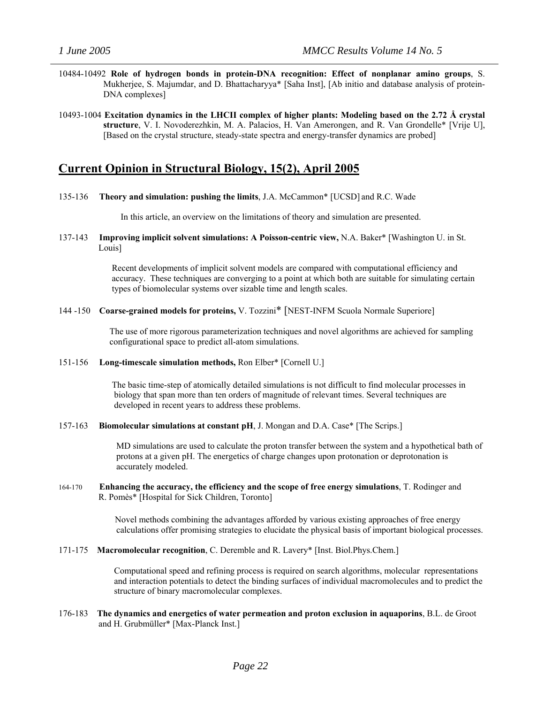- 10484-10492 **Role of hydrogen bonds in protein-DNA recognition: Effect of nonplanar amino groups**, S. Mukherjee, S. Majumdar, and D. Bhattacharyya\* [Saha Inst], [Ab initio and database analysis of protein-DNA complexes]
- 10493-1004 **Excitation dynamics in the LHCII complex of higher plants: Modeling based on the 2.72 Å crystal structure**, V. I. Novoderezhkin, M. A. Palacios, H. Van Amerongen, and R. Van Grondelle\* [Vrije U], [Based on the crystal structure, steady-state spectra and energy-transfer dynamics are probed]

### **Current Opinion in Structural Biology, 15(2), April 2005**

135-136 **Theory and simulation: pushing the limits**, J.A. McCammon\* [UCSD] and R.C. Wade

In this article, an overview on the limitations of theory and simulation are presented.

137-143 **Improving implicit solvent simulations: A Poisson-centric view,** N.A. Baker\* [Washington U. in St. Louis]

> Recent developments of implicit solvent models are compared with computational efficiency and accuracy. These techniques are converging to a point at which both are suitable for simulating certain types of biomolecular systems over sizable time and length scales.

144 -150 **Coarse-grained models for proteins,** V. Tozzini\* [NEST-INFM Scuola Normale Superiore]

 The use of more rigorous parameterization techniques and novel algorithms are achieved for sampling configurational space to predict all-atom simulations.

151-156 **Long-timescale simulation methods,** Ron Elber\* [Cornell U.]

 The basic time-step of atomically detailed simulations is not difficult to find molecular processes in biology that span more than ten orders of magnitude of relevant times. Several techniques are developed in recent years to address these problems.

157-163 **Biomolecular simulations at constant pH**, J. Mongan and D.A. Case\* [The Scrips.]

 MD simulations are used to calculate the proton transfer between the system and a hypothetical bath of protons at a given pH. The energetics of charge changes upon protonation or deprotonation is accurately modeled.

### 164-170 **Enhancing the accuracy, the efficiency and the scope of free energy simulations**, T. Rodinger and R. Pomès\* [Hospital for Sick Children, Toronto]

 Novel methods combining the advantages afforded by various existing approaches of free energy calculations offer promising strategies to elucidate the physical basis of important biological processes.

171-175 **Macromolecular recognition**, C. Deremble and R. Lavery\* [Inst. Biol.Phys.Chem.]

Computational speed and refining process is required on search algorithms, molecular representations and interaction potentials to detect the binding surfaces of individual macromolecules and to predict the structure of binary macromolecular complexes.

176-183 **The dynamics and energetics of water permeation and proton exclusion in aquaporins**, B.L. de Groot and H. Grubmüller\* [Max-Planck Inst.]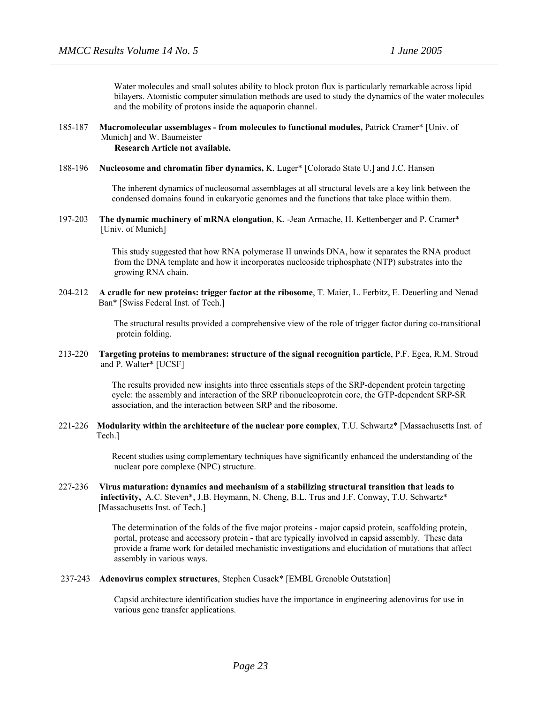Water molecules and small solutes ability to block proton flux is particularly remarkable across lipid bilayers. Atomistic computer simulation methods are used to study the dynamics of the water molecules and the mobility of protons inside the aquaporin channel.

### 185-187 **Macromolecular assemblages - from molecules to functional modules,** Patrick Cramer\* [Univ. of Munich] and W. Baumeister  **Research Article not available.**

#### 188-196 **Nucleosome and chromatin fiber dynamics,** K. Luger\* [Colorado State U.] and J.C. Hansen

The inherent dynamics of nucleosomal assemblages at all structural levels are a key link between the condensed domains found in eukaryotic genomes and the functions that take place within them.

197-203 **The dynamic machinery of mRNA elongation**, K. -Jean Armache, H. Kettenberger and P. Cramer\* [Univ. of Munich]

> This study suggested that how RNA polymerase II unwinds DNA, how it separates the RNA product from the DNA template and how it incorporates nucleoside triphosphate (NTP) substrates into the growing RNA chain.

204-212 **A cradle for new proteins: trigger factor at the ribosome**, T. Maier, L. Ferbitz, E. Deuerling and Nenad Ban<sup>\*</sup> [Swiss Federal Inst. of Tech.]

> The structural results provided a comprehensive view of the role of trigger factor during co-transitional protein folding.

### 213-220 **Targeting proteins to membranes: structure of the signal recognition particle**, P.F. Egea, R.M. Stroud and P. Walter\* [UCSF]

 The results provided new insights into three essentials steps of the SRP-dependent protein targeting cycle: the assembly and interaction of the SRP ribonucleoprotein core, the GTP-dependent SRP-SR association, and the interaction between SRP and the ribosome.

221-226 **Modularity within the architecture of the nuclear pore complex**, T.U. Schwartz\* [Massachusetts Inst. of Tech.]

> Recent studies using complementary techniques have significantly enhanced the understanding of the nuclear pore complexe (NPC) structure.

### 227-236 **Virus maturation: dynamics and mechanism of a stabilizing structural transition that leads to infectivity,** A.C. Steven\*, J.B. Heymann, N. Cheng, B.L. Trus and J.F. Conway, T.U. Schwartz\* [Massachusetts Inst. of Tech.]

 The determination of the folds of the five major proteins - major capsid protein, scaffolding protein, portal, protease and accessory protein - that are typically involved in capsid assembly. These data provide a frame work for detailed mechanistic investigations and elucidation of mutations that affect assembly in various ways.

237-243 **Adenovirus complex structures**, Stephen Cusack\* [EMBL Grenoble Outstation]

 Capsid architecture identification studies have the importance in engineering adenovirus for use in various gene transfer applications.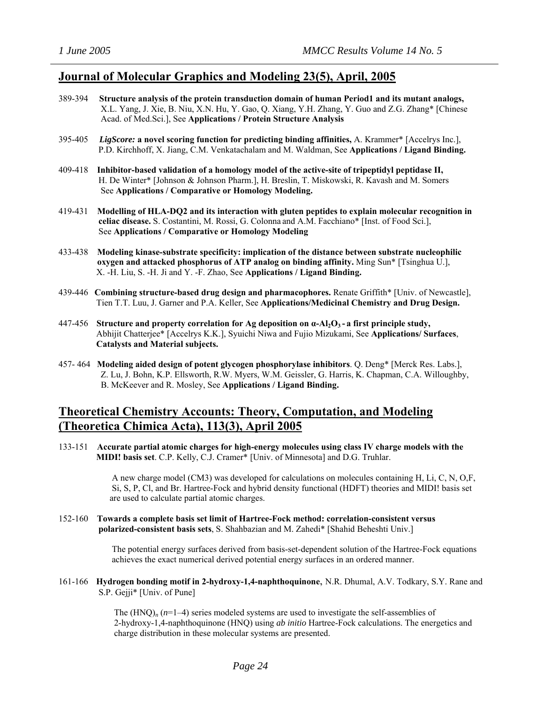### **Journal of Molecular Graphics and Modeling 23(5), April, 2005**

- 389-394 **Structure analysis of the protein transduction domain of human Period1 and its mutant analogs,** X.L. Yang, J. Xie, B. Niu, X.N. Hu, Y. Gao, Q. Xiang, Y.H. Zhang, Y. Guo and Z.G. Zhang\* [Chinese Acad. of Med.Sci.], See **Applications / Protein Structure Analysis**
- 395-405 *LigScore:* **a novel scoring function for predicting binding affinities,** A. Krammer\* [Accelrys Inc.], P.D. Kirchhoff, X. Jiang, C.M. Venkatachalam and M. Waldman, See **Applications / Ligand Binding.**
- 409-418 **Inhibitor-based validation of a homology model of the active-site of tripeptidyl peptidase II,** H. De Winter\* [Johnson & Johnson Pharm.], H. Breslin, T. Miskowski, R. Kavash and M. Somers See **Applications / Comparative or Homology Modeling.**
- 419-431 **Modelling of HLA-DQ2 and its interaction with gluten peptides to explain molecular recognition in celiac disease.** S. Costantini, M. Rossi, G. Colonna and A.M. Facchiano\* [Inst. of Food Sci.], See **Applications / Comparative or Homology Modeling**
- 433-438 **Modeling kinase-substrate specificity: implication of the distance between substrate nucleophilic oxygen and attacked phosphorus of ATP analog on binding affinity.** Ming Sun\* [Tsinghua U.], X. -H. Liu, S. -H. Ji and Y. -F. Zhao, See **Applications / Ligand Binding.**
- 439-446 **Combining structure-based drug design and pharmacophores.** Renate Griffith\* [Univ. of Newcastle], Tien T.T. Luu, J. Garner and P.A. Keller, See **Applications/Medicinal Chemistry and Drug Design.**
- 447-456 **Structure and property correlation for Ag deposition on α-Al2O3 - a first principle study,** Abhijit Chatterjee\* [Accelrys K.K.], Syuichi Niwa and Fujio Mizukami, See **Applications/ Surfaces**, **Catalysts and Material subjects.**
- 457- 464 **Modeling aided design of potent glycogen phosphorylase inhibitors**. Q. Deng\* [Merck Res. Labs.], Z. Lu, J. Bohn, K.P. Ellsworth, R.W. Myers, W.M. Geissler, G. Harris, K. Chapman, C.A. Willoughby, B. McKeever and R. Mosley, See **Applications / Ligand Binding.**

# **Theoretical Chemistry Accounts: Theory, Computation, and Modeling (Theoretica Chimica Acta), 113(3), April 2005**

133-151 **Accurate partial atomic charges for high-energy molecules using class IV charge models with the MIDI! basis set**. C.P. Kelly, C.J. Cramer\* [Univ. of Minnesota] and D.G. Truhlar.

> A new charge model (CM3) was developed for calculations on molecules containing H, Li, C, N, O,F, Si, S, P, Cl, and Br. Hartree-Fock and hybrid density functional (HDFT) theories and MIDI! basis set are used to calculate partial atomic charges.

152-160 **Towards a complete basis set limit of Hartree-Fock method: correlation-consistent versus polarized-consistent basis sets**, S. Shahbazian and M. Zahedi\* [Shahid Beheshti Univ.]

> The potential energy surfaces derived from basis-set-dependent solution of the Hartree-Fock equations achieves the exact numerical derived potential energy surfaces in an ordered manner.

161-166 **Hydrogen bonding motif in 2-hydroxy-1,4-naphthoquinone**, N.R. Dhumal, A.V. Todkary, S.Y. Rane and S.P. Gejji\* [Univ. of Pune]

> The  $(HNO)$ <sub>n</sub>  $(n=1-4)$  series modeled systems are used to investigate the self-assemblies of 2-hydroxy-1,4-naphthoquinone (HNQ) using *ab initio* Hartree-Fock calculations. The energetics and charge distribution in these molecular systems are presented.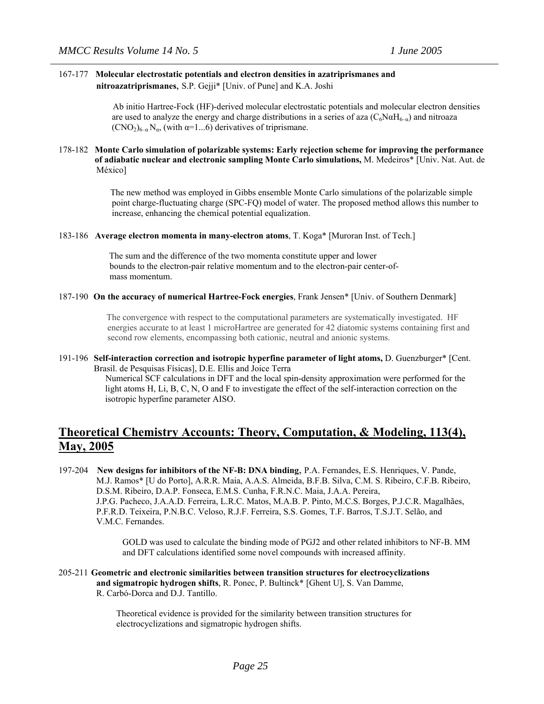### 167-177 **Molecular electrostatic potentials and electron densities in azatriprismanes and nitroazatriprismanes**, S.P. Gejji\* [Univ. of Pune] and K.A. Joshi

Ab initio Hartree-Fock (HF)-derived molecular electrostatic potentials and molecular electron densities are used to analyze the energy and charge distributions in a series of aza  $(C_6N\alpha H_{6-q})$  and nitroaza  $(CNO<sub>2</sub>)<sub>6–\alpha</sub> N<sub>\alpha</sub>$ , (with  $\alpha=1...6$ ) derivatives of triprismane.

### 178-182 **Monte Carlo simulation of polarizable systems: Early rejection scheme for improving the performance of adiabatic nuclear and electronic sampling Monte Carlo simulations,** M. Medeiros\* [Univ. Nat. Aut. de México]

The new method was employed in Gibbs ensemble Monte Carlo simulations of the polarizable simple point charge-fluctuating charge (SPC-FQ) model of water. The proposed method allows this number to increase, enhancing the chemical potential equalization.

### 183-186 **Average electron momenta in many-electron atoms**, T. Koga\* [Muroran Inst. of Tech.]

 The sum and the difference of the two momenta constitute upper and lower bounds to the electron-pair relative momentum and to the electron-pair center-of mass momentum.

### 187-190 **On the accuracy of numerical Hartree-Fock energies**, Frank Jensen\* [Univ. of Southern Denmark]

 The convergence with respect to the computational parameters are systematically investigated. HF energies accurate to at least 1 microHartree are generated for 42 diatomic systems containing first and second row elements, encompassing both cationic, neutral and anionic systems.

191-196 **Self-interaction correction and isotropic hyperfine parameter of light atoms,** D. Guenzburger\* [Cent. Brasil. de Pesquisas Físicas], D.E. Ellis and Joice Terra

> Numerical SCF calculations in DFT and the local spin-density approximation were performed for the light atoms H, Li, B, C, N, O and F to investigate the effect of the self-interaction correction on the isotropic hyperfine parameter AISO.

# **Theoretical Chemistry Accounts: Theory, Computation, & Modeling, 113(4), May, 2005**

197-204 **New designs for inhibitors of the NF-B: DNA binding**, P.A. Fernandes, E.S. Henriques, V. Pande, M.J. Ramos\* [U do Porto], A.R.R. Maia, A.A.S. Almeida, B.F.B. Silva, C.M. S. Ribeiro, C.F.B. Ribeiro, D.S.M. Ribeiro, D.A.P. Fonseca, E.M.S. Cunha, F.R.N.C. Maia, J.A.A. Pereira, J.P.G. Pacheco, J.A.A.D. Ferreira, L.R.C. Matos, M.A.B. P. Pinto, M.C.S. Borges, P.J.C.R. Magalhães, P.F.R.D. Teixeira, P.N.B.C. Veloso, R.J.F. Ferreira, S.S. Gomes, T.F. Barros, T.S.J.T. Selão, and V.M.C. Fernandes.

> GOLD was used to calculate the binding mode of PGJ2 and other related inhibitors to NF-B. MM and DFT calculations identified some novel compounds with increased affinity.

### 205-211 **Geometric and electronic similarities between transition structures for electrocyclizations and sigmatropic hydrogen shifts**, R. Ponec, P. Bultinck\* [Ghent U], S. Van Damme, R. Carbó-Dorca and D.J. Tantillo.

 Theoretical evidence is provided for the similarity between transition structures for electrocyclizations and sigmatropic hydrogen shifts.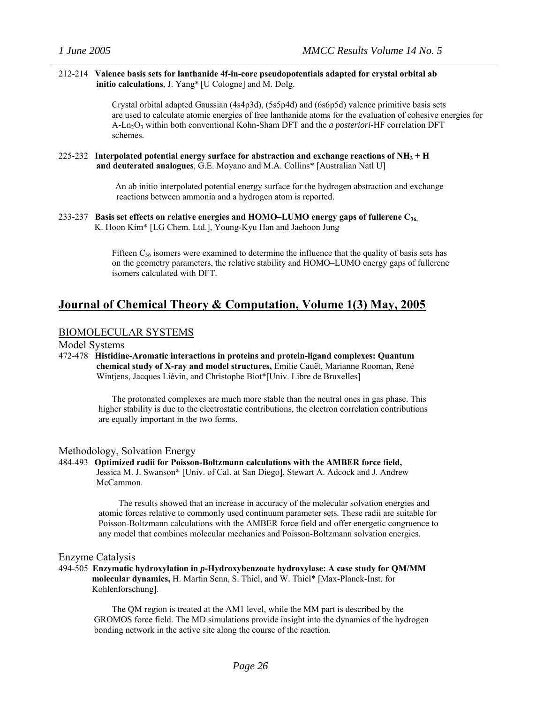### 212-214 **Valence basis sets for lanthanide 4f-in-core pseudopotentials adapted for crystal orbital ab initio calculations**, J. Yang\* [U Cologne] and M. Dolg.

Crystal orbital adapted Gaussian (4s4p3d), (5s5p4d) and (6s6p5d) valence primitive basis sets are used to calculate atomic energies of free lanthanide atoms for the evaluation of cohesive energies for A-Ln2O3 within both conventional Kohn-Sham DFT and the *a posteriori*-HF correlation DFT schemes.

### 225-232 **Interpolated potential energy surface for abstraction and exchange reactions of NH3 + H and deuterated analogues**, G.E. Moyano and M.A. Collins\* [Australian Natl U]

An ab initio interpolated potential energy surface for the hydrogen abstraction and exchange reactions between ammonia and a hydrogen atom is reported.

### 233-237 **Basis set effects on relative energies and HOMO–LUMO energy gaps of fullerene C36,** K. Hoon Kim\* [LG Chem. Ltd.], Young-Kyu Han and Jaehoon Jung

Fifteen  $C_{36}$  isomers were examined to determine the influence that the quality of basis sets has on the geometry parameters, the relative stability and HOMO–LUMO energy gaps of fullerene isomers calculated with DFT.

# **Journal of Chemical Theory & Computation, Volume 1(3) May, 2005**

### BIOMOLECULAR SYSTEMS

### Model Systems

472-478 **Histidine-Aromatic interactions in proteins and protein-ligand complexes: Quantum chemical study of X-ray and model structures,** Emilie Cauët, Marianne Rooman, René Wintjens, Jacques Liévin, and Christophe Biot\*[Univ. Libre de Bruxelles]

> The protonated complexes are much more stable than the neutral ones in gas phase. This higher stability is due to the electrostatic contributions, the electron correlation contributions are equally important in the two forms.

### Methodology, Solvation Energy

484-493 **Optimized radii for Poisson-Boltzmann calculations with the AMBER force** f**ield,** Jessica M. J. Swanson\* [Univ. of Cal. at San Diego], Stewart A. Adcock and J. Andrew McCammon.

> The results showed that an increase in accuracy of the molecular solvation energies and atomic forces relative to commonly used continuum parameter sets. These radii are suitable for Poisson-Boltzmann calculations with the AMBER force field and offer energetic congruence to any model that combines molecular mechanics and Poisson-Boltzmann solvation energies.

### Enzyme Catalysis

494-505 **Enzymatic hydroxylation in** *p***-Hydroxybenzoate hydroxylase: A case study for QM/MM molecular dynamics,** H. Martin Senn, S. Thiel, and W. Thiel\* [Max-Planck-Inst. for Kohlenforschung].

 The QM region is treated at the AM1 level, while the MM part is described by the GROMOS force field. The MD simulations provide insight into the dynamics of the hydrogen bonding network in the active site along the course of the reaction.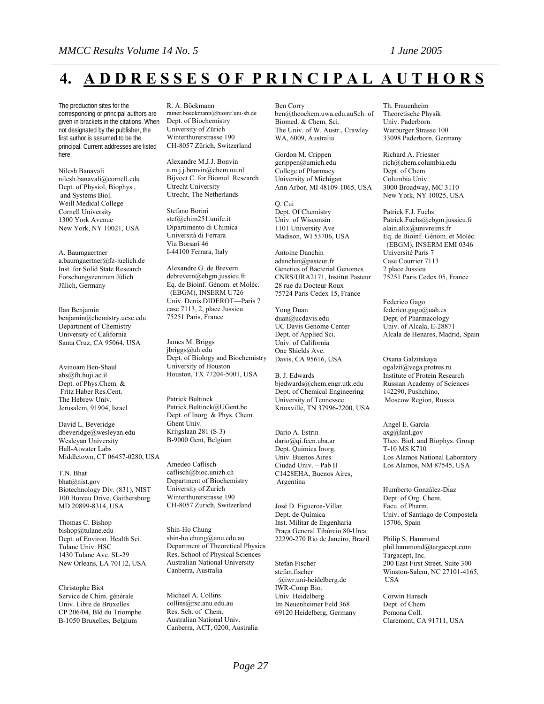# **4. A D D R E S S E S O F P R I N C I P A L A U T H O R S**

The production sites for the corresponding or principal authors are given in brackets in the citations. When not designated by the publisher, the first author is assumed to be the principal. Current addresses are listed here.

Nilesh Banavali nilesh.banavali@cornell.edu Dept. of Physiol, Biophys., and Systems Biol. Weill Medical College Cornell University 1300 York Avenue New York, NY 10021, USA

A. Baumgaertner a.baumgaertner@fz-juelich.de Inst. for Solid State Research Forschungszentrum Jülich Jülich, Germany

Ilan Benjamin benjamin@chemistry.ucsc.edu Department of Chemistry University of California Santa Cruz, CA 95064, USA

Avinoam Ben-Shaul [abs@fh.huji.ac.il](mailto:abs@fh.huji.ac.il) Dept. of Phys.Chem. & Fritz Haber Res.Cent. The Hebrew Univ. Jerusalem, 91904, Israel

David L. Beveridge dbeveridge@wesleyan.edu Wesleyan University Hall-Atwater Labs Middletown, CT 06457-0280, USA

T.N. Bhat bhat@nist.gov Biotechnology Div. (831), NIST 100 Bureau Drive, Gaithersburg MD 20899-8314, USA

Thomas C. Bishop bishop@tulane.edu Dept. of Environ. Health Sci. Tulane Univ. HSC 1430 Tulane Ave. SL-29 New Orleans, LA 70112, USA

Christophe Biot Service de Chim. générale Univ. Libre de Bruxelles CP 206/04, Bld du Triomphe B-1050 Bruxelles, Belgium

#### R. A. Böckmann

rainer.boeckmann@bioinf.uni-sb.de Dept. of Biochemistry University of Zürich Winterthurerstrasse 190 CH-8057 Zürich, Switzerland

Alexandre M.J.J. Bonvin a.m.j.j.bonvin@chem.uu.nl Bijvoet C. for Biomol. Research Utrecht University Utrecht, The Netherlands

Stefano Borini stef@chim251.unife.it Dipartimento di Chimica Università di Ferrara Via Borsari 46 I-44100 Ferrara, Italy

Alexandre G. de Brevern debrevern@ebgm.jussieu.fr Eq. de Bioinf. Génom. et Moléc. (EBGM), INSERM U726 Univ. Denis DIDEROT—Paris 7 case 7113, 2, place Jussieu 75251 Paris, France

James M. Briggs jbriggs@uh.edu Dept. of Biology and Biochemistry University of Houston Houston, TX 77204-5001, USA

Patrick Bultinck [Patrick.Bultinck@UGent.be](mailto:Patrick.Bultinck@UGent.be) Dept. of Inorg. & Phys. Chem. Ghent Univ. Krijgslaan 281 (S-3) B-9000 Gent, Belgium

Amedeo Caflisch caflisch@bioc.unizh.ch Department of Biochemistry University of Zurich Winterthurerstrasse 190 CH-8057 Zurich, Switzerland

Shin-Ho Chung shin-ho.chung@anu.edu.au Department of Theoretical Physics Res. School of Physical Sciences Australian National University Canberra, Australia

Michael A. Collins [collins@rsc.anu.edu.au](mailto:collins@rsc.anu.edu.au) Res. Sch. of Chem. Australian National Univ. Canberra, ACT, 0200, Australia Ben Corry [ben@theochem.uwa.edu.auS](mailto:ben@theochem.uwa.edu.au)ch. of Biomed. & Chem. Sci. The Univ. of W. Austr., Crawley WA, 6009, Australia

Gordon M. Crippen gcrippen@umich.edu College of Pharmacy University of Michigan Ann Arbor, MI 48109-1065, USA

Q. Cui Dept. Of Chemistry Univ. of Wisconsin 1101 University Ave Madison, WI 53706, USA

Antoine Danchin adanchin@pasteur.fr Genetics of Bacterial Genomes CNRS/URA2171, Institut Pasteur 28 rue du Docteur Roux 75724 Paris Cedex 15, France

Yong Duan duan@ucdavis.edu UC Davis Genome Center Dept. of Applied Sci. Univ. of California One Shields Ave. Davis, CA 95616, USA

B. J. Edwards bjedwards@chem.engr.utk.edu Dept. of Chemical Engineering University of Tennessee Knoxville, TN 37996-2200, USA

Dario A. Estrin dario@qi.fcen.uba.ar Dept. Quimica Inorg. Univ. Buenos Aires Ciudad Univ. – Pab II C1428EHA, Buenos Aires, Argentina

José D. Figueroa-Villar Dept. de Química Inst. Militar de Engenharia Praça General Tibúrcio 80-Urca 22290-270 Rio de Janeiro, Brazil

Stefan Fischer stefan.fischer @iwr.uni-heidelberg.de IWR-Comp Bio. Univ. Heidelberg Im Neuenheimer Feld 368 69120 Heidelberg, Germany Th. Frauenheim Theoretische Physik Univ. Paderborn Warburger Strasse 100 33098 Paderborn, Germany

Richard A. Friesner [rich@chem.columbia.edu](mailto:rich@chem.columbia.edu) Dept. of Chem. Columbia Univ. 3000 Broadway, MC 3110 New York, NY 10025, USA

Patrick F.J. Fuchs Patrick.Fuchs@ebgm.jussieu.fr alain.alix@univreims.fr Eq. de Bioinf. Génom. et Moléc. (EBGM), INSERM EMI 0346 Université Paris 7 Case Courrier 7113 2 place Jussieu 75251 Paris Cedex 05, France

Federico Gago federico.gago@uah.es Dept. of Pharmacology Univ. of Alcala, E-28871 Alcala de Henares, Madrid, Spain

Oxana Galzitskaya ogalzit@vega.protres.ru Institute of Protein Research Russian Academy of Sciences 142290, Pushchino, Moscow Region, Russia

Angel E. García axg@lanl.gov Theo. Biol. and Biophys. Group T-10 MS K710 Los Alamos National Laboratory Los Alamos, NM 87545, USA

Humberto González-Dı́az Dept. of Org. Chem. Facu. of Pharm. Univ. of Santiago de Compostela 15706, Spain

Philip S. Hammond phil.hammond@targacept.com Targacept, Inc. 200 East First Street, Suite 300 Winston-Salem, NC 27101-4165, **IISA** 

Corwin Hansch Dept. of Chem. Pomona Coll. Claremont, CA 91711, USA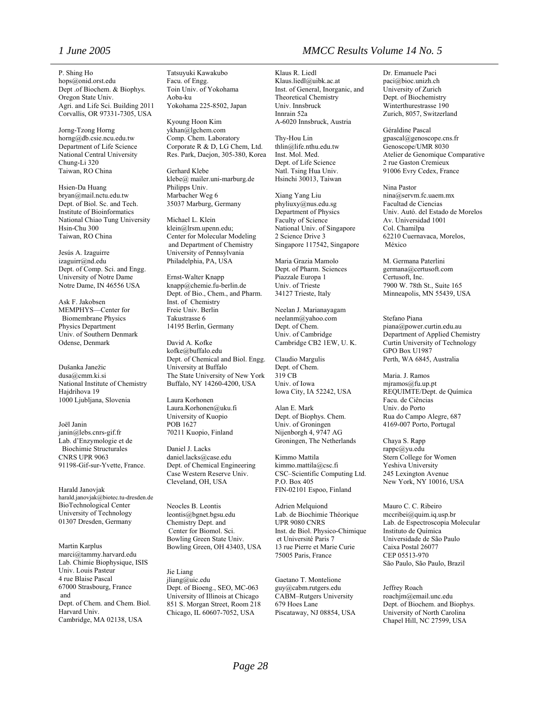P. Shing Ho [hops@onid.orst.edu](mailto:hops@onid.orst.edu) Dept .of Biochem. & Biophys. Oregon State Univ. Agri. and Life Sci. Building 2011 Corvallis, OR 97331-7305, USA

Jorng-Tzong Horng horng@db.csie.ncu.edu.tw Department of Life Science National Central University Chung-Li 320 Taiwan, RO China

Hsien-Da Huang bryan@mail.nctu.edu.tw Dept. of Biol. Sc. and Tech. Institute of Bioinformatics National Chiao Tung University Hsin-Chu 300 Taiwan, RO China

Jesús A. Izaguirre izaguirr@nd.edu Dept. of Comp. Sci. and Engg. University of Notre Dame Notre Dame, IN 46556 USA

Ask F. Jakobsen MEMPHYS—Center for Biomembrane Physics Physics Department Univ. of Southern Denmark Odense, Denmark

Dušanka Janežic dusa@cmm.ki.si National Institute of Chemistry Hajdrihova 19 1000 Ljubljana, Slovenia

Joël Janin janin@lebs.cnrs-gif.fr Lab. d'Enzymologie et de Biochimie Structurales CNRS UPR 9063 91198-Gif-sur-Yvette, France.

Harald Janovjak harald.janovjak@biotec.tu-dresden.de BioTechnological Center University of Technology 01307 Dresden, Germany

Martin Karplus marci@tammy.harvard.edu Lab. Chimie Biophysique, ISIS Univ. Louis Pasteur 4 rue Blaise Pascal 67000 Strasbourg, France and Dept. of Chem. and Chem. Biol. Harvard Univ. Cambridge, MA 02138, USA

Tatsuyuki Kawakubo Facu. of Engg. Toin Univ. of Yokohama Aoba-ku Yokohama 225-8502, Japan

Kyoung Hoon Kim [ykhan@lgchem.com](mailto:ykhan@lgchem.com) Comp. Chem. Laboratory Corporate R & D, LG Chem, Ltd. Res. Park, Daejon, 305-380, Korea

Gerhard Klebe klebe@ mailer.uni-marburg.de Philipps Univ. Marbacher Weg 6 35037 Marburg, Germany

Michael L. Klein klein@lrsm.upenn.edu; Center for Molecular Modeling and Department of Chemistry University of Pennsylvania Philadelphia, PA, USA

Ernst-Walter Knapp knapp@chemie.fu-berlin.de Dept. of Bio., Chem., and Pharm. Inst. of Chemistry Freie Univ. Berlin Takustrasse 6 14195 Berlin, Germany

David A. Kofke kofke@buffalo.edu Dept. of Chemical and Biol. Engg. University at Buffalo The State University of New York Buffalo, NY 14260-4200, USA

Laura Korhonen Laura.Korhonen@uku.fi University of Kuopio POB 1627 70211 Kuopio, Finland

Daniel J. Lacks daniel.lacks@case.edu Dept. of Chemical Engineering Case Western Reserve Univ. Cleveland, OH, USA

Neocles B. Leontis leontis@bgnet.bgsu.edu Chemistry Dept. and Center for Biomol. Sci. Bowling Green State Univ. Bowling Green, OH 43403, USA

Jie Liang jliang@uic.edu Dept. of Bioeng., SEO, MC-063 University of Illinois at Chicago 851 S. Morgan Street, Room 218 Chicago, IL 60607-7052, USA

Klaus R. Liedl Klaus.liedl@uibk.ac.at Inst. of General, Inorganic, and Theoretical Chemistry Univ. Innsbruck Innrain 52a A-6020 Innsbruck, Austria

Thy-Hou Lin thlin@life.nthu.edu.tw Inst. Mol. Med. Dept. of Life Science Natl. Tsing Hua Univ. Hsinchi 30013, Taiwan

Xiang Yang Liu phyliuxy@nus.edu.sg Department of Physics Faculty of Science National Univ. of Singapore 2 Science Drive 3 Singapore 117542, Singapore

Maria Grazia Mamolo Dept. of Pharm. Sciences Piazzale Europa 1 Univ. of Trieste 34127 Trieste, Italy

Neelan J. Marianayagam neelanm@yahoo.com Dept. of Chem. Univ. of Cambridge Cambridge CB2 1EW, U. K.

Claudio Margulis Dept. of Chem. 319 CB Univ. of Iowa Iowa City, IA 52242, USA

Alan E. Mark Dept. of Biophys. Chem. Univ. of Groningen Nijenborgh 4, 9747 AG Groningen, The Netherlands

Kimmo Mattila kimmo.mattila@csc.fi CSC–Scientific Computing Ltd. P.O. Box 405 FIN-02101 Espoo, Finland

Adrien Melquiond Lab. de Biochimie Théorique UPR 9080 CNRS Inst. de Biol. Physico-Chimique et Université Paris 7 13 rue Pierre et Marie Curie 75005 Paris, France

Gaetano T. Montelione guy@cabm.rutgers.edu CABM–Rutgers University 679 Hoes Lane Piscataway, NJ 08854, USA

Dr. Emanuele Paci paci@bioc.unizh.ch University of Zurich Dept. of Biochemistry Winterthurestrasse 190 Zurich, 8057, Switzerland

Géraldine Pascal gpascal@genoscope.cns.fr Genoscope/UMR 8030 Atelier de Genomique Comparative 2 rue Gaston Cremieux 91006 Evry Cedex, France

Nina Pastor nina@servm.fc.uaem.mx Facultad de Ciencias Univ. Autó. del Estado de Morelos Av. Universidad 1001 Col. Chamilpa 62210 Cuernavaca, Morelos, México

M. Germana Paterlini germana@certusoft.com Certusoft, Inc. 7900 W. 78th St., Suite 165 Minneapolis, MN 55439, USA

Stefano Piana piana@power.curtin.edu.au Department of Applied Chemistry Curtin University of Technology GPO Box U1987 Perth, WA 6845, Australia

Maria. J. Ramos [mjramos@fu.up.pt](mailto:mjramos@fu.up.pt) REQUIMTE/Dept. de Química Facu. de Ciências Univ. do Porto Rua do Campo Alegre, 687 4169-007 Porto, Portugal

Chaya S. Rapp rappc@yu.edu Stern College for Women Yeshiva University 245 Lexington Avenue New York, NY 10016, USA

Mauro C. C. Ribeiro mccribei@quim.iq.usp.br Lab. de Espectroscopia Molecular Instituto de Química Universidade de São Paulo Caixa Postal 26077 CEP 05513-970 São Paulo, São Paulo, Brazil

Jeffrey Roach roachjm@email.unc.edu Dept. of Biochem. and Biophys. University of North Carolina Chapel Hill, NC 27599, USA

### *1 June 2005 MMCC Results Volume 14 No. 5*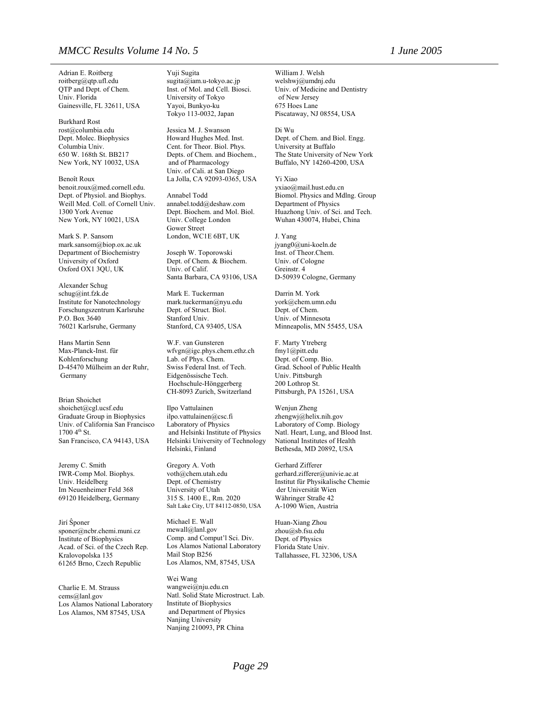Adrian E. Roitberg roitberg@qtp.ufl.edu QTP and Dept. of Chem. Univ. Florida Gainesville, FL 32611, USA

Burkhard Rost rost@columbia.edu Dept. Molec. Biophysics Columbia Univ. 650 W. 168th St. BB217 New York, NY 10032, USA

Benoît Roux [benoit.roux@med.cornell.edu.](mailto:benoit.roux@med.cornell.edu) Dept. of Physiol. and Biophys. Weill Med. Coll. of Cornell Univ. 1300 York Avenue New York, NY 10021, USA

Mark S. P. Sansom mark.sansom@biop.ox.ac.uk Department of Biochemistry University of Oxford Oxford OX1 3QU, UK

Alexander Schug schug@int.fzk.de Institute for Nanotechnology Forschungszentrum Karlsruhe P.O. Box 3640 76021 Karlsruhe, Germany

Hans Martin Senn Max-Planck-Inst. für Kohlenforschung D-45470 Mülheim an der Ruhr, Germany

Brian Shoichet shoichet@cgl.ucsf.edu Graduate Group in Biophysics Univ. of California San Francisco  $1700 \, 4^{th}$  St. San Francisco, CA 94143, USA

Jeremy C. Smith IWR-Comp Mol. Biophys. Univ. Heidelberg Im Neuenheimer Feld 368 69120 Heidelberg, Germany

Jirí Ŝponer sponer@ncbr.chemi.muni.cz Institute of Biophysics Acad. of Sci. of the Czech Rep. Kralovopolska 135 61265 Brno, Czech Republic

Charlie E. M. Strauss cems@lanl.gov Los Alamos National Laboratory Los Alamos, NM 87545, USA

Yuji Sugita sugita@iam.u-tokyo.ac.jp Inst. of Mol. and Cell. Biosci. University of Tokyo Yayoi, Bunkyo-ku Tokyo 113-0032, Japan

Jessica M. J. Swanson Howard Hughes Med. Inst. Cent. for Theor. Biol. Phys. Depts. of Chem. and Biochem., and of Pharmacology Univ. of Cali. at San Diego La Jolla, CA 92093-0365, USA

Annabel Todd annabel.todd@deshaw.com Dept. Biochem. and Mol. Biol. Univ. College London Gower Street London, WC1E 6BT, UK

Joseph W. Toporowski Dept. of Chem. & Biochem. Univ. of Calif. Santa Barbara, CA 93106, USA

Mark E. Tuckerman [mark.tuckerman@nyu.edu](mailto:mark.tuckerman@nyu.edu) Dept. of Struct. Biol. Stanford Univ. Stanford, CA 93405, USA

W.F. van Gunsteren [wfvgn@igc.phys.chem.ethz.ch](mailto:wfvgn@igc.phys.chem.ethz.ch) Lab. of Phys. Chem. Swiss Federal Inst. of Tech. Eidgenössische Tech. Hochschule-Hönggerberg CH-8093 Zurich, Switzerland

Ilpo Vattulainen ilpo.vattulainen@csc.fi Laboratory of Physics and Helsinki Institute of Physics Helsinki University of Technology Helsinki, Finland

Gregory A. Voth voth@chem.utah.edu Dept. of Chemistry University of Utah 315 S. 1400 E., Rm. 2020 Salt Lake City, UT 84112-0850, USA

Michael E. Wall mewall@lanl.gov Comp. and Comput'l Sci. Div. Los Alamos National Laboratory Mail Stop B256 Los Alamos, NM, 87545, USA

Wei Wang wangwei@nju.edu.cn Natl. Solid State Microstruct. Lab. Institute of Biophysics and Department of Physics Nanjing University Nanjing 210093, PR China

William J. Welsh welshwj@umdnj.edu Univ. of Medicine and Dentistry of New Jersey 675 Hoes Lane Piscataway, NJ 08554, USA

Di Wu Dept. of Chem. and Biol. Engg. University at Buffalo The State University of New York Buffalo, NY 14260-4200, USA

Yi Xiao yxiao@mail.hust.edu.cn Biomol. Physics and Mdlng. Group Department of Physics Huazhong Univ. of Sci. and Tech. Wuhan 430074, Hubei, China

J. Yang [jyang0@uni-koeln.de](mailto:jyang0@uni-koeln.de) Inst. of Theor.Chem. Univ. of Cologne Greinstr. 4 D-50939 Cologne, Germany

Darrin M. York york@chem.umn.edu Dept. of Chem. Univ. of Minnesota Minneapolis, MN 55455, USA

F. Marty Ytreberg fmy1@pitt.edu Dept. of Comp. Bio. Grad. School of Public Health Univ. Pittsburgh 200 Lothrop St. Pittsburgh, PA 15261, USA

Wenjun Zheng zhengwj@helix.nih.gov Laboratory of Comp. Biology Natl. Heart, Lung, and Blood Inst. National Institutes of Health Bethesda, MD 20892, USA

Gerhard Zifferer gerhard.zifferer@univie.ac.at Institut für Physikalische Chemie der Universität Wien Währinger Straße 42 A-1090 Wien, Austria

Huan-Xiang Zhou zhou@sb.fsu.edu Dept. of Physics Florida State Univ. Tallahassee, FL 32306, USA